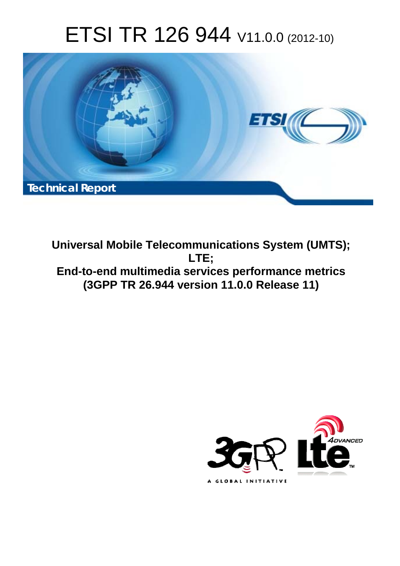# ETSI TR 126 944 V11.0.0 (2012-10)



**Universal Mobile Telecommunications System (UMTS); LTE; End-to-end multimedia services performance metrics (3GPP TR 26.944 version 11.0.0 Release 11)** 

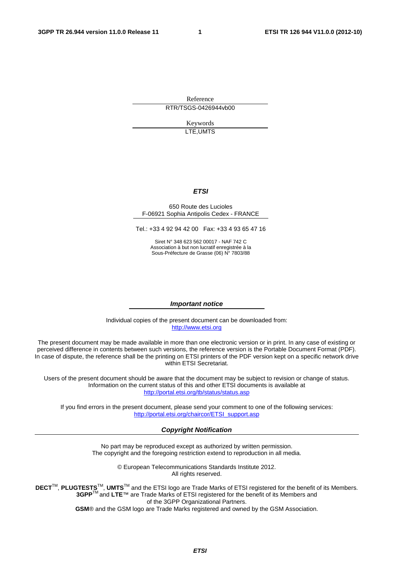Reference RTR/TSGS-0426944vb00

> Keywords LTE,UMTS

#### *ETSI*

#### 650 Route des Lucioles F-06921 Sophia Antipolis Cedex - FRANCE

Tel.: +33 4 92 94 42 00 Fax: +33 4 93 65 47 16

Siret N° 348 623 562 00017 - NAF 742 C Association à but non lucratif enregistrée à la Sous-Préfecture de Grasse (06) N° 7803/88

#### *Important notice*

Individual copies of the present document can be downloaded from: [http://www.etsi.org](http://www.etsi.org/)

The present document may be made available in more than one electronic version or in print. In any case of existing or perceived difference in contents between such versions, the reference version is the Portable Document Format (PDF). In case of dispute, the reference shall be the printing on ETSI printers of the PDF version kept on a specific network drive within ETSI Secretariat.

Users of the present document should be aware that the document may be subject to revision or change of status. Information on the current status of this and other ETSI documents is available at <http://portal.etsi.org/tb/status/status.asp>

If you find errors in the present document, please send your comment to one of the following services: [http://portal.etsi.org/chaircor/ETSI\\_support.asp](http://portal.etsi.org/chaircor/ETSI_support.asp)

#### *Copyright Notification*

No part may be reproduced except as authorized by written permission. The copyright and the foregoing restriction extend to reproduction in all media.

> © European Telecommunications Standards Institute 2012. All rights reserved.

DECT<sup>™</sup>, PLUGTESTS<sup>™</sup>, UMTS<sup>™</sup> and the ETSI logo are Trade Marks of ETSI registered for the benefit of its Members. **3GPP**TM and **LTE**™ are Trade Marks of ETSI registered for the benefit of its Members and of the 3GPP Organizational Partners.

**GSM**® and the GSM logo are Trade Marks registered and owned by the GSM Association.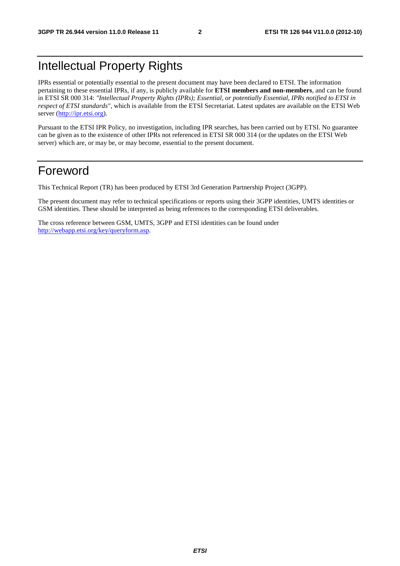# Intellectual Property Rights

IPRs essential or potentially essential to the present document may have been declared to ETSI. The information pertaining to these essential IPRs, if any, is publicly available for **ETSI members and non-members**, and can be found in ETSI SR 000 314: *"Intellectual Property Rights (IPRs); Essential, or potentially Essential, IPRs notified to ETSI in respect of ETSI standards"*, which is available from the ETSI Secretariat. Latest updates are available on the ETSI Web server [\(http://ipr.etsi.org](http://webapp.etsi.org/IPR/home.asp)).

Pursuant to the ETSI IPR Policy, no investigation, including IPR searches, has been carried out by ETSI. No guarantee can be given as to the existence of other IPRs not referenced in ETSI SR 000 314 (or the updates on the ETSI Web server) which are, or may be, or may become, essential to the present document.

# Foreword

This Technical Report (TR) has been produced by ETSI 3rd Generation Partnership Project (3GPP).

The present document may refer to technical specifications or reports using their 3GPP identities, UMTS identities or GSM identities. These should be interpreted as being references to the corresponding ETSI deliverables.

The cross reference between GSM, UMTS, 3GPP and ETSI identities can be found under [http://webapp.etsi.org/key/queryform.asp.](http://webapp.etsi.org/key/queryform.asp)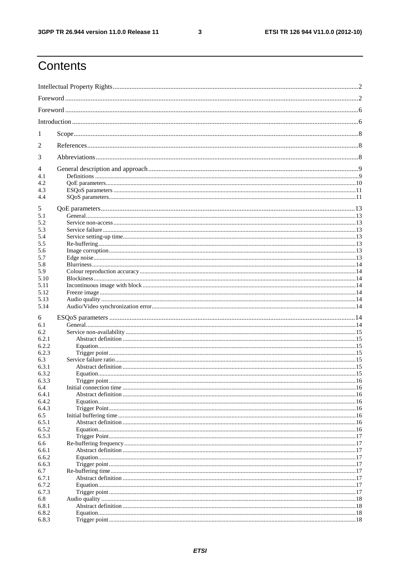$\mathbf{3}$ 

# Contents

| 1<br>2<br>3<br>4<br>4.1<br>4.2<br>4.3<br>4.4<br>5<br>5.1<br>5.2<br>5.3<br>5.4<br>5.5<br>5.6<br>5.7<br>5.8<br>5.9<br>5.10<br>5.11<br>5.12<br>5.13<br>5.14<br>6<br>6.1<br>6.2<br>6.2.1<br>6.2.2<br>6.2.3<br>6.3<br>6.3.1<br>6.3.2<br>6.3.3<br>6.4<br>6.4.1<br>6.4.2<br>6.4.3<br>6.5<br>6.5.1<br>6.5.2<br>6.5.3<br>6.6<br>6.6.1<br>6.6.2<br>6.6.3<br>6.7<br>6.7.1<br>6.7.2<br>6.7.3<br>6.8<br>6.8.1<br>6.8.2<br>6.8.3 |  |  |  |  |
|--------------------------------------------------------------------------------------------------------------------------------------------------------------------------------------------------------------------------------------------------------------------------------------------------------------------------------------------------------------------------------------------------------------------|--|--|--|--|
|                                                                                                                                                                                                                                                                                                                                                                                                                    |  |  |  |  |
|                                                                                                                                                                                                                                                                                                                                                                                                                    |  |  |  |  |
|                                                                                                                                                                                                                                                                                                                                                                                                                    |  |  |  |  |
|                                                                                                                                                                                                                                                                                                                                                                                                                    |  |  |  |  |
|                                                                                                                                                                                                                                                                                                                                                                                                                    |  |  |  |  |
|                                                                                                                                                                                                                                                                                                                                                                                                                    |  |  |  |  |
|                                                                                                                                                                                                                                                                                                                                                                                                                    |  |  |  |  |
|                                                                                                                                                                                                                                                                                                                                                                                                                    |  |  |  |  |
|                                                                                                                                                                                                                                                                                                                                                                                                                    |  |  |  |  |
|                                                                                                                                                                                                                                                                                                                                                                                                                    |  |  |  |  |
|                                                                                                                                                                                                                                                                                                                                                                                                                    |  |  |  |  |
|                                                                                                                                                                                                                                                                                                                                                                                                                    |  |  |  |  |
|                                                                                                                                                                                                                                                                                                                                                                                                                    |  |  |  |  |
|                                                                                                                                                                                                                                                                                                                                                                                                                    |  |  |  |  |
|                                                                                                                                                                                                                                                                                                                                                                                                                    |  |  |  |  |
|                                                                                                                                                                                                                                                                                                                                                                                                                    |  |  |  |  |
|                                                                                                                                                                                                                                                                                                                                                                                                                    |  |  |  |  |
|                                                                                                                                                                                                                                                                                                                                                                                                                    |  |  |  |  |
|                                                                                                                                                                                                                                                                                                                                                                                                                    |  |  |  |  |
|                                                                                                                                                                                                                                                                                                                                                                                                                    |  |  |  |  |
|                                                                                                                                                                                                                                                                                                                                                                                                                    |  |  |  |  |
|                                                                                                                                                                                                                                                                                                                                                                                                                    |  |  |  |  |
|                                                                                                                                                                                                                                                                                                                                                                                                                    |  |  |  |  |
|                                                                                                                                                                                                                                                                                                                                                                                                                    |  |  |  |  |
|                                                                                                                                                                                                                                                                                                                                                                                                                    |  |  |  |  |
|                                                                                                                                                                                                                                                                                                                                                                                                                    |  |  |  |  |
|                                                                                                                                                                                                                                                                                                                                                                                                                    |  |  |  |  |
|                                                                                                                                                                                                                                                                                                                                                                                                                    |  |  |  |  |
|                                                                                                                                                                                                                                                                                                                                                                                                                    |  |  |  |  |
|                                                                                                                                                                                                                                                                                                                                                                                                                    |  |  |  |  |
|                                                                                                                                                                                                                                                                                                                                                                                                                    |  |  |  |  |
|                                                                                                                                                                                                                                                                                                                                                                                                                    |  |  |  |  |
|                                                                                                                                                                                                                                                                                                                                                                                                                    |  |  |  |  |
|                                                                                                                                                                                                                                                                                                                                                                                                                    |  |  |  |  |
|                                                                                                                                                                                                                                                                                                                                                                                                                    |  |  |  |  |
|                                                                                                                                                                                                                                                                                                                                                                                                                    |  |  |  |  |
|                                                                                                                                                                                                                                                                                                                                                                                                                    |  |  |  |  |
|                                                                                                                                                                                                                                                                                                                                                                                                                    |  |  |  |  |
|                                                                                                                                                                                                                                                                                                                                                                                                                    |  |  |  |  |
|                                                                                                                                                                                                                                                                                                                                                                                                                    |  |  |  |  |
|                                                                                                                                                                                                                                                                                                                                                                                                                    |  |  |  |  |
|                                                                                                                                                                                                                                                                                                                                                                                                                    |  |  |  |  |
|                                                                                                                                                                                                                                                                                                                                                                                                                    |  |  |  |  |
|                                                                                                                                                                                                                                                                                                                                                                                                                    |  |  |  |  |
|                                                                                                                                                                                                                                                                                                                                                                                                                    |  |  |  |  |
|                                                                                                                                                                                                                                                                                                                                                                                                                    |  |  |  |  |
|                                                                                                                                                                                                                                                                                                                                                                                                                    |  |  |  |  |
|                                                                                                                                                                                                                                                                                                                                                                                                                    |  |  |  |  |
|                                                                                                                                                                                                                                                                                                                                                                                                                    |  |  |  |  |
|                                                                                                                                                                                                                                                                                                                                                                                                                    |  |  |  |  |
|                                                                                                                                                                                                                                                                                                                                                                                                                    |  |  |  |  |
|                                                                                                                                                                                                                                                                                                                                                                                                                    |  |  |  |  |
|                                                                                                                                                                                                                                                                                                                                                                                                                    |  |  |  |  |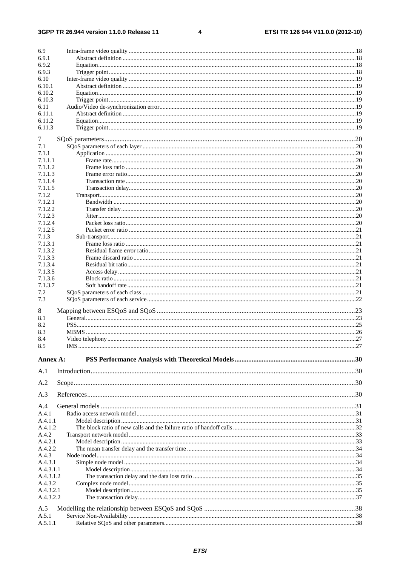#### 3GPP TR 26.944 version 11.0.0 Release 11

 $\overline{\mathbf{4}}$ 

| 6.9                    |     |  |
|------------------------|-----|--|
| 6.9.1                  |     |  |
| 6.9.2                  |     |  |
| 6.9.3                  |     |  |
| 6.10                   |     |  |
| 6.10.1                 |     |  |
| 6.10.2                 |     |  |
| 6.10.3                 |     |  |
| 6.11                   |     |  |
| 6.11.1                 |     |  |
| 6.11.2                 |     |  |
| 6.11.3                 |     |  |
| 7                      |     |  |
| 7.1                    |     |  |
| 7.1.1                  |     |  |
| 7.1.1.1                |     |  |
| 7.1.1.2                |     |  |
| 7.1.1.3                |     |  |
| 7.1.1.4                |     |  |
| 7.1.1.5                |     |  |
| 7.1.2<br>7.1.2.1       |     |  |
| 7.1.2.2                |     |  |
| 7.1.2.3                |     |  |
| 7.1.2.4                |     |  |
| 7.1.2.5                |     |  |
| 7.1.3                  |     |  |
| 7.1.3.1                |     |  |
| 7.1.3.2                |     |  |
| 7.1.3.3                |     |  |
| 7.1.3.4                |     |  |
| 7.1.3.5                |     |  |
| 7.1.3.6                |     |  |
| 7.1.3.7                |     |  |
| 7.2<br>7.3             |     |  |
|                        |     |  |
| 8                      |     |  |
| 8.1                    |     |  |
| 8.2                    |     |  |
| 8.3                    |     |  |
| 8.4                    |     |  |
| 8.5                    | IMS |  |
| Annex A:               |     |  |
|                        |     |  |
| A.1                    |     |  |
| A.2                    |     |  |
|                        |     |  |
| A.3                    |     |  |
| A.4                    |     |  |
| A.4.1                  |     |  |
| A.4.1.1                |     |  |
| A.4.1.2                |     |  |
| A.4.2                  |     |  |
| A.4.2.1                |     |  |
| A.4.2.2                |     |  |
| A.4.3                  |     |  |
| A.4.3.1                |     |  |
| A.4.3.1.1              |     |  |
| A.4.3.1.2              |     |  |
| A.4.3.2                |     |  |
| A.4.3.2.1<br>A.4.3.2.2 |     |  |
|                        |     |  |
| A.5                    |     |  |
| A.5.1                  |     |  |
| A.5.1.1                |     |  |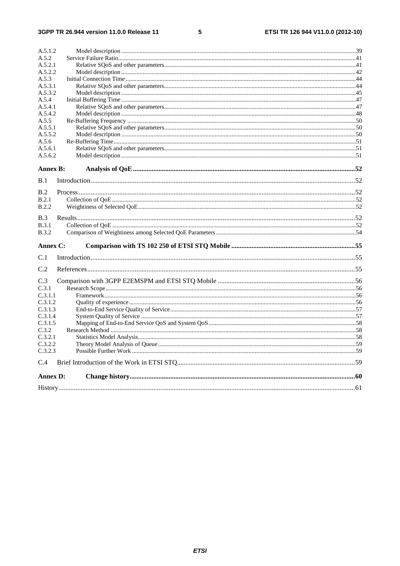$5\phantom{a}$ 

| A.5.1.2         |  |
|-----------------|--|
| A.5.2           |  |
| A.5.2.1         |  |
| A.5.2.2         |  |
| A.5.3           |  |
| A.5.3.1         |  |
| A.5.3.2         |  |
| A.5.4           |  |
| A.5.4.1         |  |
| A.5.4.2         |  |
| A.5.5           |  |
| A.5.5.1         |  |
| A.5.5.2         |  |
| A.5.6           |  |
| A.5.6.1         |  |
| A.5.6.2         |  |
| <b>Annex B:</b> |  |
| B.1             |  |
|                 |  |
| B.2             |  |
| B.2.1           |  |
| B.2.2           |  |
|                 |  |
| B.3             |  |
| B.3.1           |  |
| <b>B.3.2</b>    |  |
| Annex C:        |  |
| C.1             |  |
| C.2             |  |
|                 |  |
| C.3             |  |
| C.3.1           |  |
| C.3.1.1         |  |
| C.3.1.2         |  |
| C.3.1.3         |  |
| C.3.1.4         |  |
| C.3.1.5         |  |
| C.3.2           |  |
| C.3.2.1         |  |
| C.3.2.2         |  |
| C.3.2.3         |  |
| C.4             |  |
| <b>Annex D:</b> |  |
|                 |  |
|                 |  |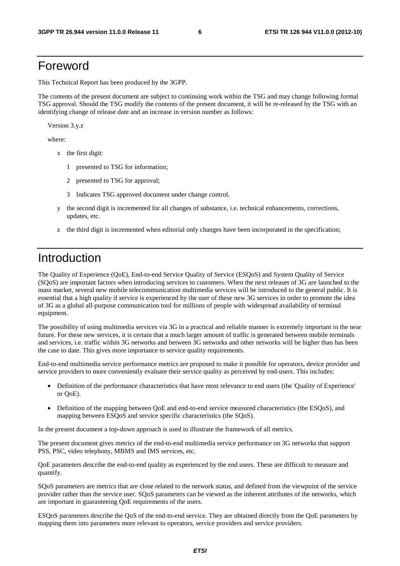# Foreword

This Technical Report has been produced by the 3GPP.

The contents of the present document are subject to continuing work within the TSG and may change following formal TSG approval. Should the TSG modify the contents of the present document, it will be re-released by the TSG with an identifying change of release date and an increase in version number as follows:

Version 3.y.z

where:

- x the first digit:
	- 1 presented to TSG for information;
	- 2 presented to TSG for approval;
	- 3 Indicates TSG approved document under change control.
- y the second digit is incremented for all changes of substance, i.e. technical enhancements, corrections, updates, etc.
- z the third digit is incremented when editorial only changes have been incorporated in the specification;

# Introduction

The Quality of Experience (QoE), End-to-end Service Quality of Service (ESQoS) and System Quality of Service (SQoS) are important factors when introducing services to customers. When the next releases of 3G are launched to the mass market, several new mobile telecommunication multimedia services will be introduced to the general public. It is essential that a high quality if service is experienced by the user of these new 3G services in order to promote the idea of 3G as a global all-purpose communication tool for millions of people with widespread availability of terminal equipment.

The possibility of using multimedia services via 3G in a practical and reliable manner is extremely important in the near future. For these new services, it is certain that a much larger amount of traffic is generated between mobile terminals and services, i.e. traffic within 3G networks and between 3G networks and other networks will be higher than has been the case to date. This gives more importance to service quality requirements.

End-to-end multimedia service performance metrics are proposed to make it possible for operators, device provider and service providers to more conveniently evaluate their service quality as perceived by end-users. This includes:

- Definition of the performance characteristics that have most relevance to end users (the 'Quality of Experience' or QoE).
- Definition of the mapping between QoE and end-to-end service measured characteristics (the ESQoS), and mapping between ESQoS and service specific characteristics (the SQoS).

In the present document a top-down approach is used to illustrate the framework of all metrics.

The present document gives metrics of the end-to-end multimedia service performance on 3G networks that support PSS, PSC, video telephony, MBMS and IMS services, etc.

QoE parameters describe the end-to-end quality as experienced by the end users. These are difficult to measure and quantify.

SQoS parameters are metrics that are close related to the network status, and defined from the viewpoint of the service provider rather than the service user. SQoS parameters can be viewed as the inherent attributes of the networks, which are important in guaranteeing QoE requirements of the users.

ESQoS parameters describe the QoS of the end-to-end service. They are obtained directly from the QoE parameters by mapping them into parameters more relevant to operators, service providers and service providers.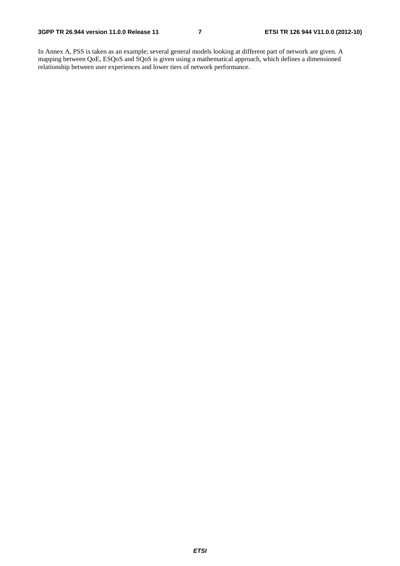In Annex A, PSS is taken as an example; several general models looking at different part of network are given. A mapping between QoE, ESQoS and SQoS is given using a mathematical approach, which defines a dimensioned relationship between user experiences and lower tiers of network performance.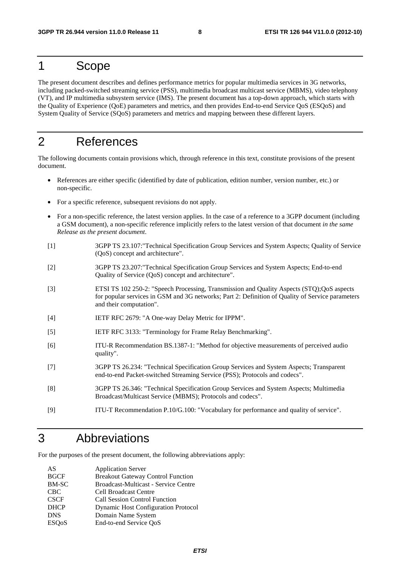# 1 Scope

The present document describes and defines performance metrics for popular multimedia services in 3G networks, including packed-switched streaming service (PSS), multimedia broadcast multicast service (MBMS), video telephony (VT), and IP multimedia subsystem service (IMS). The present document has a top-down approach, which starts with the Quality of Experience (QoE) parameters and metrics, and then provides End-to-end Service QoS (ESQoS) and System Quality of Service (SQoS) parameters and metrics and mapping between these different layers.

# 2 References

The following documents contain provisions which, through reference in this text, constitute provisions of the present document.

- References are either specific (identified by date of publication, edition number, version number, etc.) or non-specific.
- For a specific reference, subsequent revisions do not apply.
- For a non-specific reference, the latest version applies. In the case of a reference to a 3GPP document (including a GSM document), a non-specific reference implicitly refers to the latest version of that document *in the same Release as the present document*.
- [1] 3GPP TS 23.107:"Technical Specification Group Services and System Aspects; Quality of Service (QoS) concept and architecture".
- [2] 3GPP TS 23.207:"Technical Specification Group Services and System Aspects; End-to-end Quality of Service (QoS) concept and architecture".
- [3] ETSI TS 102 250-2: "Speech Processing, Transmission and Quality Aspects (STQ);QoS aspects for popular services in GSM and 3G networks; Part 2: Definition of Quality of Service parameters and their computation".
- [4] IETF RFC 2679: "A One-way Delay Metric for IPPM".
- [5] IETF RFC 3133: "Terminology for Frame Relay Benchmarking".
- [6] ITU-R Recommendation BS.1387-1: "Method for objective measurements of perceived audio quality".
- [7] 3GPP TS 26.234: "Technical Specification Group Services and System Aspects; Transparent end-to-end Packet-switched Streaming Service (PSS); Protocols and codecs".
- [8] 3GPP TS 26.346: "Technical Specification Group Services and System Aspects; Multimedia Broadcast/Multicast Service (MBMS); Protocols and codecs".
- [9] ITU-T Recommendation P.10/G.100: "Vocabulary for performance and quality of service".

# 3 Abbreviations

For the purposes of the present document, the following abbreviations apply:

| AS                        | <b>Application Server</b>                  |
|---------------------------|--------------------------------------------|
| <b>BGCF</b>               | <b>Breakout Gateway Control Function</b>   |
| <b>BM-SC</b>              | Broadcast-Multicast - Service Centre       |
| <b>CBC</b>                | <b>Cell Broadcast Centre</b>               |
| <b>CSCF</b>               | <b>Call Session Control Function</b>       |
| <b>DHCP</b>               | <b>Dynamic Host Configuration Protocol</b> |
| <b>DNS</b>                | Domain Name System                         |
| <b>ESO</b> <sub>o</sub> S | End-to-end Service QoS                     |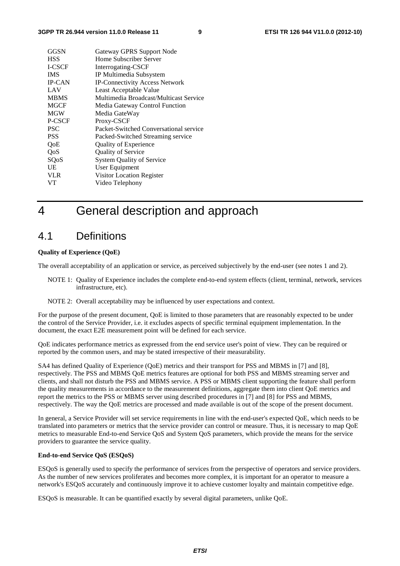| GGSN          | Gateway GPRS Support Node              |
|---------------|----------------------------------------|
| <b>HSS</b>    | Home Subscriber Server                 |
| <b>I-CSCF</b> | Interrogating-CSCF                     |
| <b>IMS</b>    | IP Multimedia Subsystem                |
| <b>IP-CAN</b> | <b>IP-Connectivity Access Network</b>  |
| LAV           | Least Acceptable Value                 |
| <b>MBMS</b>   | Multimedia Broadcast/Multicast Service |
| <b>MGCF</b>   | Media Gateway Control Function         |
| <b>MGW</b>    | Media GateWay                          |
| P-CSCF        | Proxy-CSCF                             |
| <b>PSC</b>    | Packet-Switched Conversational service |
| <b>PSS</b>    | Packed-Switched Streaming service      |
| QoE           | <b>Quality of Experience</b>           |
| QoS           | <b>Quality of Service</b>              |
| SQoS          | <b>System Quality of Service</b>       |
| UE            | User Equipment                         |
| <b>VLR</b>    | Visitor Location Register              |
| VТ            | Video Telephony                        |

# 4 General description and approach

## 4.1 Definitions

#### **Quality of Experience (QoE)**

The overall acceptability of an application or service, as perceived subjectively by the end-user (see notes 1 and 2).

- NOTE 1: Quality of Experience includes the complete end-to-end system effects (client, terminal, network, services infrastructure, etc).
- NOTE 2: Overall acceptability may be influenced by user expectations and context.

For the purpose of the present document, QoE is limited to those parameters that are reasonably expected to be under the control of the Service Provider, i.e. it excludes aspects of specific terminal equipment implementation. In the document, the exact E2E measurement point will be defined for each service.

QoE indicates performance metrics as expressed from the end service user's point of view. They can be required or reported by the common users, and may be stated irrespective of their measurability.

SA4 has defined Quality of Experience (QoE) metrics and their transport for PSS and MBMS in [7] and [8], respectively. The PSS and MBMS QoE metrics features are optional for both PSS and MBMS streaming server and clients, and shall not disturb the PSS and MBMS service. A PSS or MBMS client supporting the feature shall perform the quality measurements in accordance to the measurement definitions, aggregate them into client QoE metrics and report the metrics to the PSS or MBMS server using described procedures in [7] and [8] for PSS and MBMS, respectively. The way the QoE metrics are processed and made available is out of the scope of the present document.

In general, a Service Provider will set service requirements in line with the end-user's expected QoE, which needs to be translated into parameters or metrics that the service provider can control or measure. Thus, it is necessary to map QoE metrics to measurable End-to-end Service QoS and System QoS parameters, which provide the means for the service providers to guarantee the service quality.

#### **End-to-end Service QoS (ESQoS)**

ESQoS is generally used to specify the performance of services from the perspective of operators and service providers. As the number of new services proliferates and becomes more complex, it is important for an operator to measure a network's ESQoS accurately and continuously improve it to achieve customer loyalty and maintain competitive edge.

ESQoS is measurable. It can be quantified exactly by several digital parameters, unlike QoE.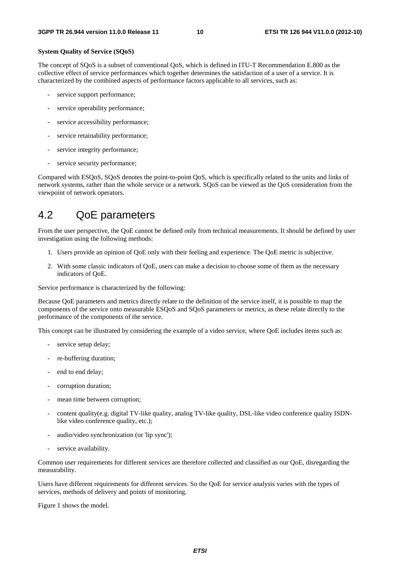#### **System Quality of Service (SQoS)**

The concept of SQoS is a subset of conventional QoS, which is defined in ITU-T Recommendation E.800 as the collective effect of service performances which together determines the satisfaction of a user of a service. It is characterized by the combined aspects of performance factors applicable to all services, such as:

- service support performance;
- service operability performance;
- service accessibility performance;
- service retainability performance;
- service integrity performance;
- service security performance;

Compared with ESQoS, SQoS denotes the point-to-point QoS, which is specifically related to the units and links of network systems, rather than the whole service or a network. SQoS can be viewed as the QoS consideration from the viewpoint of network operators.

## 4.2 QoE parameters

From the user perspective, the QoE cannot be defined only from technical measurements. It should be defined by user investigation using the following methods:

- 1. Users provide an opinion of QoE only with their feeling and experience. The QoE metric is subjective.
- 2. With some classic indicators of QoE, users can make a decision to choose some of them as the necessary indicators of QoE.

Service performance is characterized by the following:

Because QoE parameters and metrics directly relate to the definition of the service itself, it is possible to map the components of the service onto measurable ESQoS and SQoS parameters or metrics, as these relate directly to the performance of the components of the service.

This concept can be illustrated by considering the example of a video service, where QoE includes items such as:

- service setup delay;
- re-buffering duration:
- end to end delay;
- corruption duration;
- mean time between corruption;
- content quality(e.g. digital TV-like quality, analog TV-like quality, DSL-like video conference quality ISDNlike video conference quality, etc.);
- audio/video synchronization (or 'lip sync');
- service availability.

Common user requirements for different services are therefore collected and classified as our QoE, disregarding the measurability.

Users have different requirements for different services. So the QoE for service analysis varies with the types of services, methods of delivery and points of monitoring.

Figure 1 shows the model.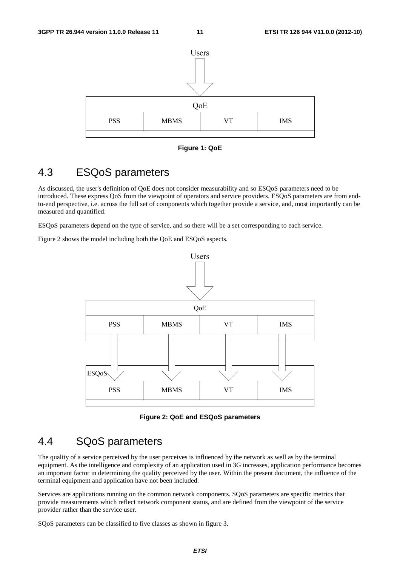

**Figure 1: QoE** 

## 4.3 ESQoS parameters

As discussed, the user's definition of QoE does not consider measurability and so ESQoS parameters need to be introduced. These express QoS from the viewpoint of operators and service providers. ESQoS parameters are from endto-end perspective, i.e. across the full set of components which together provide a service, and, most importantly can be measured and quantified.

ESQoS parameters depend on the type of service, and so there will be a set corresponding to each service.

Figure 2 shows the model including both the QoE and ESQoS aspects.



**Figure 2: QoE and ESQoS parameters** 

## 4.4 SQoS parameters

The quality of a service perceived by the user perceives is influenced by the network as well as by the terminal equipment. As the intelligence and complexity of an application used in 3G increases, application performance becomes an important factor in determining the quality perceived by the user. Within the present document, the influence of the terminal equipment and application have not been included.

Services are applications running on the common network components. SQoS parameters are specific metrics that provide measurements which reflect network component status, and are defined from the viewpoint of the service provider rather than the service user.

SQoS parameters can be classified to five classes as shown in figure 3.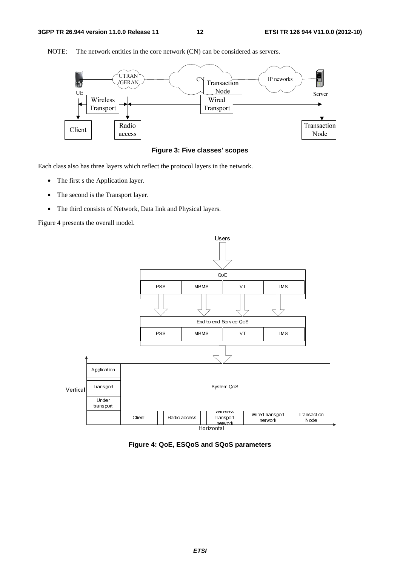

NOTE: The network entities in the core network (CN) can be considered as servers.



Each class also has three layers which reflect the protocol layers in the network.

- The first s the Application layer.
- The second is the Transport layer.
- The third consists of Network, Data link and Physical layers.

Figure 4 presents the overall model.



**Figure 4: QoE, ESQoS and SQoS parameters**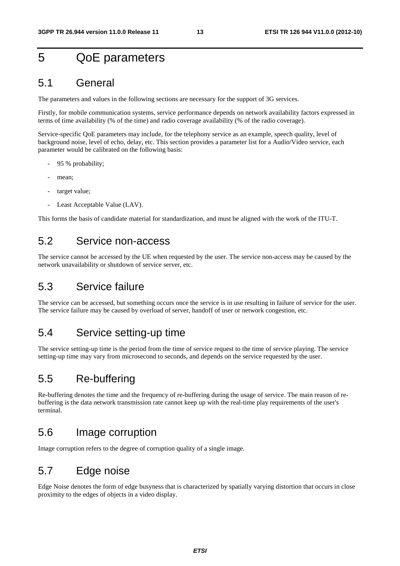# 5 QoE parameters

## 5.1 General

The parameters and values in the following sections are necessary for the support of 3G services.

Firstly, for mobile communication systems, service performance depends on network availability factors expressed in terms of time availability (% of the time) and radio coverage availability (% of the radio coverage).

Service-specific QoE parameters may include, for the telephony service as an example, speech quality, level of background noise, level of echo, delay, etc. This section provides a parameter list for a Audio/Video service, each parameter would be calibrated on the following basis:

- 95 % probability;
- mean;
- target value:
- Least Acceptable Value (LAV).

This forms the basis of candidate material for standardization, and must be aligned with the work of the ITU-T.

## 5.2 Service non-access

The service cannot be accessed by the UE when requested by the user. The service non-access may be caused by the network unavailability or shutdown of service server, etc.

## 5.3 Service failure

The service can be accessed, but something occurs once the service is in use resulting in failure of service for the user. The service failure may be caused by overload of server, handoff of user or network congestion, etc.

## 5.4 Service setting-up time

The service setting-up time is the period from the time of service request to the time of service playing. The service setting-up time may vary from microsecond to seconds, and depends on the service requested by the user.

## 5.5 Re-buffering

Re-buffering denotes the time and the frequency of re-buffering during the usage of service. The main reason of rebuffering is the data network transmission rate cannot keep up with the real-time play requirements of the user's terminal.

## 5.6 Image corruption

Image corruption refers to the degree of corruption quality of a single image.

# 5.7 Edge noise

Edge Noise denotes the form of edge busyness that is characterized by spatially varying distortion that occurs in close proximity to the edges of objects in a video display.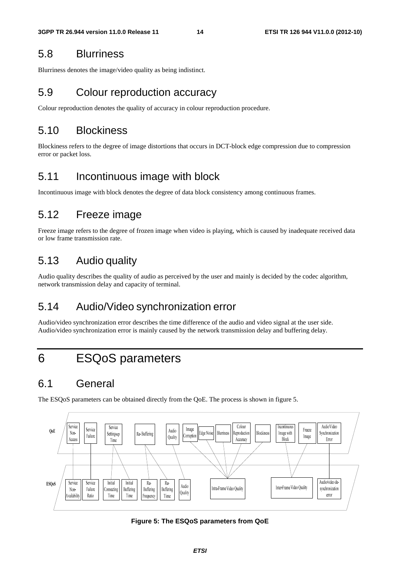## 5.8 Blurriness

Blurriness denotes the image/video quality as being indistinct.

## 5.9 Colour reproduction accuracy

Colour reproduction denotes the quality of accuracy in colour reproduction procedure.

## 5.10 Blockiness

Blockiness refers to the degree of image distortions that occurs in DCT-block edge compression due to compression error or packet loss.

## 5.11 Incontinuous image with block

Incontinuous image with block denotes the degree of data block consistency among continuous frames.

## 5.12 Freeze image

Freeze image refers to the degree of frozen image when video is playing, which is caused by inadequate received data or low frame transmission rate.

# 5.13 Audio quality

Audio quality describes the quality of audio as perceived by the user and mainly is decided by the codec algorithm, network transmission delay and capacity of terminal.

## 5.14 Audio/Video synchronization error

Audio/video synchronization error describes the time difference of the audio and video signal at the user side. Audio/video synchronization error is mainly caused by the network transmission delay and buffering delay.

# 6 ESQoS parameters

## 6.1 General

The ESQoS parameters can be obtained directly from the QoE. The process is shown in figure 5.



**Figure 5: The ESQoS parameters from QoE**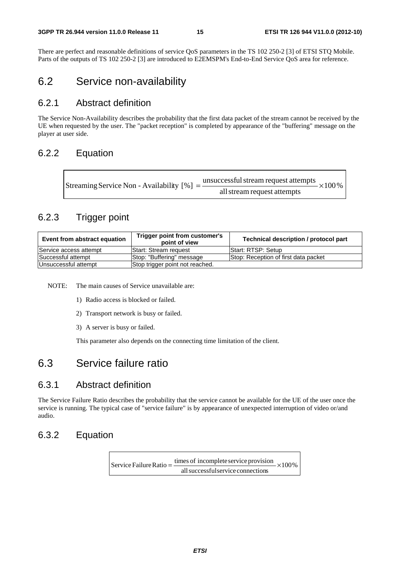There are perfect and reasonable definitions of service QoS parameters in the TS 102 250-2 [3] of ETSI STQ Mobile. Parts of the outputs of TS 102 250-2 [3] are introduced to E2EMSPM's End-to-End Service QoS area for reference.

## 6.2 Service non-availability

### 6.2.1 Abstract definition

The Service Non-Availability describes the probability that the first data packet of the stream cannot be received by the UE when requested by the user. The "packet reception" is completed by appearance of the "buffering" message on the player at user side.

### 6.2.2 Equation

| Streaming Service Non - Availability [%] = $\frac{\text{unsuccessful stream request attempts}}{\text{}}$ × 100 % |
|------------------------------------------------------------------------------------------------------------------|
| all stream request attempts                                                                                      |

## 6.2.3 Trigger point

| Event from abstract equation | Trigger point from customer's<br>point of view | Technical description / protocol part |
|------------------------------|------------------------------------------------|---------------------------------------|
| Service access attempt       | IStart: Stream reguest                         | Start: RTSP: Setup                    |
| Successful attempt           | Stop: "Buffering" message                      | Stop: Reception of first data packet  |
| Unsuccessful attempt         | Stop trigger point not reached.                |                                       |

NOTE: The main causes of Service unavailable are:

- 1) Radio access is blocked or failed.
- 2) Transport network is busy or failed.
- 3) A server is busy or failed.

This parameter also depends on the connecting time limitation of the client.

## 6.3 Service failure ratio

### 6.3.1 Abstract definition

The Service Failure Ratio describes the probability that the service cannot be available for the UE of the user once the service is running. The typical case of "service failure" is by appearance of unexpected interruption of video or/and audio.

## 6.3.2 Equation

 $\times100\%$ allsuccessfulservice connections Service Failure Ratio =  $\frac{\text{times of incomplete service provision}}{1}$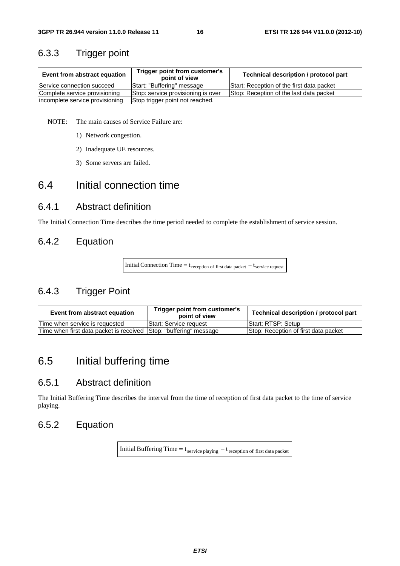## 6.3.3 Trigger point

| Trigger point from customer's<br>Event from abstract equation<br>point of view |                                    | Technical description / protocol part     |
|--------------------------------------------------------------------------------|------------------------------------|-------------------------------------------|
| Service connection succeed                                                     | Start: "Buffering" message         | Start: Reception of the first data packet |
| Complete service provisioning                                                  | Stop: service provisioning is over | Stop: Reception of the last data packet   |
| incomplete service provisioning                                                | Stop trigger point not reached.    |                                           |

NOTE: The main causes of Service Failure are:

- 1) Network congestion.
- 2) Inadequate UE resources.
- 3) Some servers are failed.

## 6.4 Initial connection time

### 6.4.1 Abstract definition

The Initial Connection Time describes the time period needed to complete the establishment of service session.

## 6.4.2 Equation

Initial Connection Time =  $t_{reception of first data packet} - t_{service request}$ 

## 6.4.3 Trigger Point

| Event from abstract equation                                       | Trigger point from customer's<br>point of view | Technical description / protocol part |
|--------------------------------------------------------------------|------------------------------------------------|---------------------------------------|
| Time when service is requested                                     | <b>Start: Service request</b>                  | <b>Start: RTSP: Setup</b>             |
| Time when first data packet is received Sttop: "buffering" message |                                                | Stop: Reception of first data packet  |

# 6.5 Initial buffering time

### 6.5.1 Abstract definition

The Initial Buffering Time describes the interval from the time of reception of first data packet to the time of service playing.

## 6.5.2 Equation

Initial Buffering Time =  $t_{\text{service playing}} - t_{\text{reception of first data packet}}$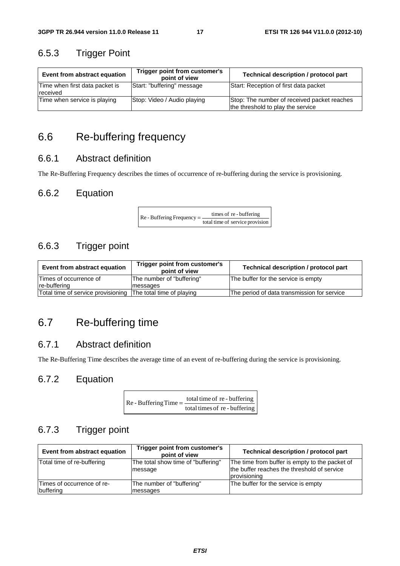## 6.5.3 Trigger Point

| Event from abstract equation               | Trigger point from customer's<br>point of view | Technical description / protocol part                                            |
|--------------------------------------------|------------------------------------------------|----------------------------------------------------------------------------------|
| Time when first data packet is<br>received | Start: "buffering" message                     | Start: Reception of first data packet                                            |
| Time when service is playing               | Stop: Video / Audio playing                    | Stop: The number of received packet reaches<br>the threshold to play the service |

# 6.6 Re-buffering frequency

## 6.6.1 Abstract definition

The Re-Buffering Frequency describes the times of occurrence of re-buffering during the service is provisioning.

## 6.6.2 Equation

 $\text{Re}$  - Buffering Frequency =  $\frac{\text{times of re} \cdot \text{buffering}}{\text{total time of service provision}}$ 

## 6.6.3 Trigger point

| Event from abstract equation       | Trigger point from customer's<br>point of view | Technical description / protocol part       |
|------------------------------------|------------------------------------------------|---------------------------------------------|
| Times of occurrence of             | The number of "buffering"                      | The buffer for the service is empty         |
| re-buffering                       | lmessages                                      |                                             |
| Total time of service provisioning | The total time of playing                      | The period of data transmission for service |

# 6.7 Re-buffering time

## 6.7.1 Abstract definition

The Re-Buffering Time describes the average time of an event of re-buffering during the service is provisioning.

## 6.7.2 Equation

| $Re$ - Buffering Time = $\frac{10 \text{ rad}}{100 \text{ rad/s}}$ | total time of re - buffering  |
|--------------------------------------------------------------------|-------------------------------|
|                                                                    | total times of re - buffering |

## 6.7.3 Trigger point

| Event from abstract equation            | Trigger point from customer's<br>point of view | <b>Technical description / protocol part</b>                                                                  |
|-----------------------------------------|------------------------------------------------|---------------------------------------------------------------------------------------------------------------|
| Total time of re-buffering              | The total show time of "buffering"<br>message  | The time from buffer is empty to the packet of<br>the buffer reaches the threshold of service<br>provisioning |
| Times of occurrence of re-<br>buffering | The number of "buffering"<br>messages          | The buffer for the service is empty                                                                           |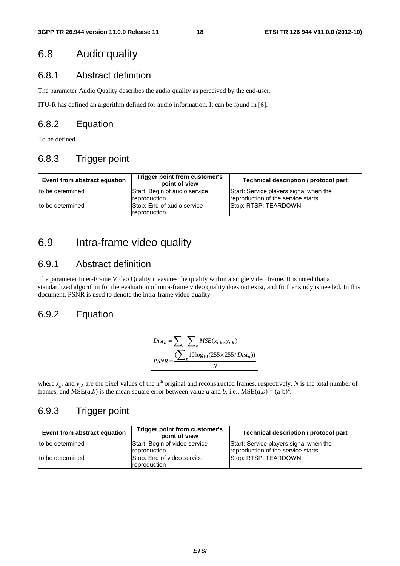## 6.8 Audio quality

### 6.8.1 Abstract definition

The parameter Audio Quality describes the audio quality as perceived by the end-user.

ITU-R has defined an algorithm defined for audio information. It can be found in [6].

### 6.8.2 Equation

To be defined.

## 6.8.3 Trigger point

| Event from abstract equation | Trigger point from customer's<br>point of view | <b>Technical description / protocol part</b>                                 |
|------------------------------|------------------------------------------------|------------------------------------------------------------------------------|
| to be determined             | Start: Begin of audio service<br>reproduction  | Start: Service players signal when the<br>reproduction of the service starts |
| to be determined             | Stop: End of audio service<br>reproduction     | Stop: RTSP: TEARDOWN                                                         |

## 6.9 Intra-frame video quality

### 6.9.1 Abstract definition

The parameter Inter-Frame Video Quality measures the quality within a single video frame. It is noted that a standardized algorithm for the evaluation of intra-frame video quality does not exist, and further study is needed. In this document, PSNR is used to denote the intra-frame video quality.

## 6.9.2 Equation

$$
Dist_n = \sum_{i} \sum_{k} MSE(x_{i,k}, y_{i,k})
$$
  
PSNR = 
$$
\frac{\sum_{i} 10 \log_{10}(255 \times 255 / Dist_n))}{N}
$$

where  $x_{jk}$  and  $y_{jk}$  are the pixel values of the n<sup>th</sup> original and reconstructed frames, respectively, *N* is the total number of frames, and  $MSE(a,b)$  is the mean square error between value *a* and *b*, i.e.,  $MSE(a,b) = (a-b)^2$ .

## 6.9.3 Trigger point

| Event from abstract equation | Trigger point from customer's<br>point of view | Technical description / protocol part                                        |
|------------------------------|------------------------------------------------|------------------------------------------------------------------------------|
| to be determined             | Start: Begin of video service<br>reproduction  | Start: Service players signal when the<br>reproduction of the service starts |
| to be determined             | Stop: End of video service<br>reproduction     | Stop: RTSP: TEARDOWN                                                         |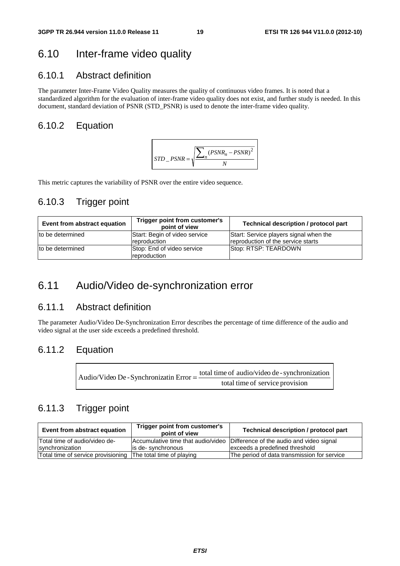## 6.10 Inter-frame video quality

## 6.10.1 Abstract definition

The parameter Inter-Frame Video Quality measures the quality of continuous video frames. It is noted that a standardized algorithm for the evaluation of inter-frame video quality does not exist, and further study is needed. In this document, standard deviation of PSNR (STD\_PSNR) is used to denote the inter-frame video quality.

### 6.10.2 Equation



This metric captures the variability of PSNR over the entire video sequence.

### 6.10.3 Trigger point

| Event from abstract equation | Trigger point from customer's<br>point of view | Technical description / protocol part                                        |
|------------------------------|------------------------------------------------|------------------------------------------------------------------------------|
| to be determined             | Start: Begin of video service<br>reproduction  | Start: Service players signal when the<br>reproduction of the service starts |
| Ito be determined            | Stop: End of video service<br>reproduction     | Stop: RTSP: TEARDOWN                                                         |

## 6.11 Audio/Video de-synchronization error

## 6.11.1 Abstract definition

The parameter Audio/Video De-Synchronization Error describes the percentage of time difference of the audio and video signal at the user side exceeds a predefined threshold.

### 6.11.2 Equation

| Audio/Video De - Synchronizatin Error = - | total time of audio/video de - synchronization |
|-------------------------------------------|------------------------------------------------|
|                                           | total time of service provision                |

### 6.11.3 Trigger point

| Event from abstract equation                                 | Trigger point from customer's<br>point of view | Technical description / protocol part                                       |
|--------------------------------------------------------------|------------------------------------------------|-----------------------------------------------------------------------------|
| ITotal time of audio/video de-                               |                                                | Accumulative time that audio/video Difference of the audio and video signal |
| synchronization                                              | lis de-synchronous                             | exceeds a predefined threshold                                              |
| Total time of service provisioning The total time of playing |                                                | The period of data transmission for service                                 |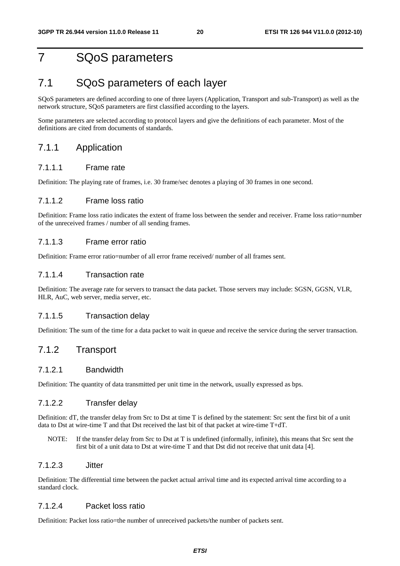# 7 SQoS parameters

## 7.1 SQoS parameters of each layer

SQoS parameters are defined according to one of three layers (Application, Transport and sub-Transport) as well as the network structure, SQoS parameters are first classified according to the layers.

Some parameters are selected according to protocol layers and give the definitions of each parameter. Most of the definitions are cited from documents of standards.

#### 7.1.1 Application

#### 7.1.1.1 Frame rate

Definition: The playing rate of frames, i.e. 30 frame/sec denotes a playing of 30 frames in one second.

#### 7.1.1.2 Frame loss ratio

Definition: Frame loss ratio indicates the extent of frame loss between the sender and receiver. Frame loss ratio=number of the unreceived frames / number of all sending frames.

#### 7.1.1.3 Frame error ratio

Definition: Frame error ratio=number of all error frame received/ number of all frames sent.

#### 7.1.1.4 Transaction rate

Definition: The average rate for servers to transact the data packet. Those servers may include: SGSN, GGSN, VLR, HLR, AuC, web server, media server, etc.

#### 7.1.1.5 Transaction delay

Definition: The sum of the time for a data packet to wait in queue and receive the service during the server transaction.

### 7.1.2 Transport

#### 7.1.2.1 Bandwidth

Definition: The quantity of data transmitted per unit time in the network, usually expressed as bps.

#### 7.1.2.2 Transfer delay

Definition: dT, the transfer delay from Src to Dst at time T is defined by the statement: Src sent the first bit of a unit data to Dst at wire-time T and that Dst received the last bit of that packet at wire-time T+dT.

NOTE: If the transfer delay from Src to Dst at T is undefined (informally, infinite), this means that Src sent the first bit of a unit data to Dst at wire-time T and that Dst did not receive that unit data [4].

#### 7.1.2.3 Jitter

Definition: The differential time between the packet actual arrival time and its expected arrival time according to a standard clock.

#### 7.1.2.4 Packet loss ratio

Definition: Packet loss ratio=the number of unreceived packets/the number of packets sent.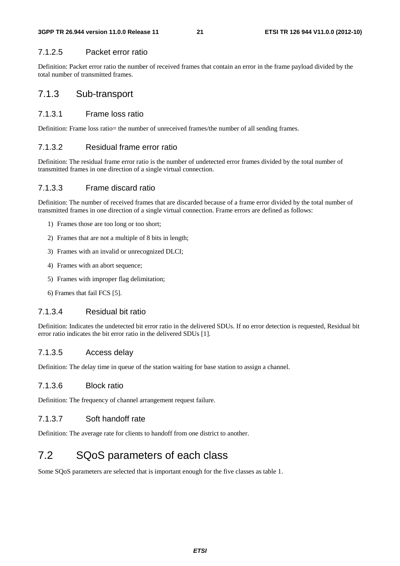#### 7.1.2.5 Packet error ratio

Definition: Packet error ratio the number of received frames that contain an error in the frame payload divided by the total number of transmitted frames.

### 7.1.3 Sub-transport

#### 7.1.3.1 Frame loss ratio

Definition: Frame loss ratio= the number of unreceived frames/the number of all sending frames.

#### 7.1.3.2 Residual frame error ratio

Definition: The residual frame error ratio is the number of undetected error frames divided by the total number of transmitted frames in one direction of a single virtual connection.

#### 7.1.3.3 Frame discard ratio

Definition: The number of received frames that are discarded because of a frame error divided by the total number of transmitted frames in one direction of a single virtual connection. Frame errors are defined as follows:

- 1) Frames those are too long or too short;
- 2) Frames that are not a multiple of 8 bits in length;
- 3) Frames with an invalid or unrecognized DLCI;
- 4) Frames with an abort sequence;
- 5) Frames with improper flag delimitation;
- 6) Frames that fail FCS [5].

#### 7.1.3.4 Residual bit ratio

Definition: Indicates the undetected bit error ratio in the delivered SDUs. If no error detection is requested, Residual bit error ratio indicates the bit error ratio in the delivered SDUs [1].

#### 7.1.3.5 Access delay

Definition: The delay time in queue of the station waiting for base station to assign a channel.

#### 7.1.3.6 Block ratio

Definition: The frequency of channel arrangement request failure.

#### 7.1.3.7 Soft handoff rate

Definition: The average rate for clients to handoff from one district to another.

# 7.2 SQoS parameters of each class

Some SQoS parameters are selected that is important enough for the five classes as table 1.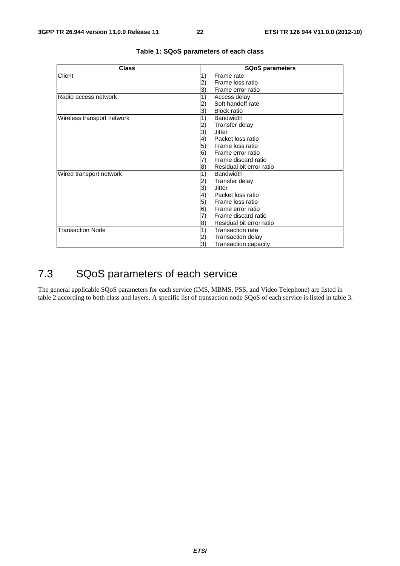| <b>Class</b>               | <b>SQoS parameters</b>                       |  |  |  |
|----------------------------|----------------------------------------------|--|--|--|
| Client                     | 1)<br>Frame rate                             |  |  |  |
|                            | Frame loss ratio                             |  |  |  |
|                            | Frame error ratio<br>3)                      |  |  |  |
| Radio access network       | 1)<br>Access delay                           |  |  |  |
|                            | Soft handoff rate                            |  |  |  |
|                            | <b>Block ratio</b><br>3)                     |  |  |  |
| Wireless transport network | 1)<br><b>Bandwidth</b>                       |  |  |  |
|                            | Transfer delay<br>2)                         |  |  |  |
|                            | 3)<br>Jitter                                 |  |  |  |
|                            | Packet loss ratio<br>$\vert 4)$              |  |  |  |
|                            | 5)<br>Frame loss ratio                       |  |  |  |
|                            | Frame error ratio<br>6)                      |  |  |  |
|                            | Frame discard ratio                          |  |  |  |
|                            | Residual bit error ratio<br>$\vert 8\rangle$ |  |  |  |
| Wired transport network    | 1)<br><b>Bandwidth</b>                       |  |  |  |
|                            | Transfer delay<br>2)                         |  |  |  |
|                            | 3)<br><b>Jitter</b>                          |  |  |  |
|                            | Packet loss ratio<br>4)                      |  |  |  |
|                            | 5)<br>Frame loss ratio                       |  |  |  |
|                            | 6)<br>Frame error ratio                      |  |  |  |
|                            | Frame discard ratio                          |  |  |  |
|                            | Residual bit error ratio<br>$\vert 8\rangle$ |  |  |  |
| <b>Transaction Node</b>    | 1)<br><b>Transaction rate</b>                |  |  |  |
|                            | Transaction delay<br>2)                      |  |  |  |
|                            | <b>Transaction capacity</b><br>3)            |  |  |  |

#### **Table 1: SQoS parameters of each class**

# 7.3 SQoS parameters of each service

The general applicable SQoS parameters for each service (IMS, MBMS, PSS, and Video Telephone) are listed in table 2 according to both class and layers. A specific list of transaction node SQoS of each service is listed in table 3.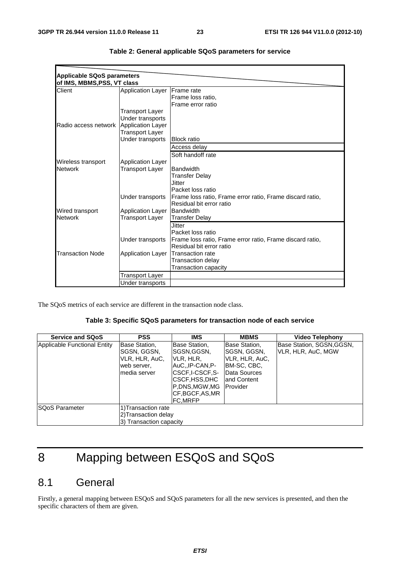| <b>Applicable SQoS parameters</b> |                          |                                                           |
|-----------------------------------|--------------------------|-----------------------------------------------------------|
| of IMS, MBMS, PSS, VT class       |                          |                                                           |
| Client                            | <b>Application Layer</b> | <b>IFrame</b> rate                                        |
|                                   |                          | Frame loss ratio,                                         |
|                                   |                          | Frame error ratio                                         |
|                                   | Transport Layer          |                                                           |
|                                   | Under transports         |                                                           |
| Radio access network              | Application Layer        |                                                           |
|                                   | <b>Transport Layer</b>   |                                                           |
|                                   | Under transports         | <b>Block ratio</b>                                        |
|                                   |                          | Access delay                                              |
|                                   |                          | Soft handoff rate                                         |
| Wireless transport                | <b>Application Layer</b> |                                                           |
| <b>Network</b>                    | Transport Laver          | <b>Bandwidth</b>                                          |
|                                   |                          | <b>Transfer Delay</b>                                     |
|                                   |                          | Jitter                                                    |
|                                   |                          | Packet loss ratio                                         |
|                                   | Under transports         | Frame loss ratio, Frame error ratio, Frame discard ratio, |
|                                   |                          | Residual bit error ratio                                  |
| Wired transport                   | <b>Application Layer</b> | Bandwidth                                                 |
| <b>Network</b>                    | Transport Layer          | <b>Transfer Delay</b>                                     |
|                                   |                          | <b>Jitter</b>                                             |
|                                   |                          | Packet loss ratio                                         |
|                                   | Under transports         | Frame loss ratio, Frame error ratio, Frame discard ratio, |
|                                   |                          | Residual bit error ratio                                  |
| <b>Transaction Node</b>           | <b>Application Layer</b> | lTransaction rate                                         |
|                                   |                          | Transaction delay                                         |
|                                   |                          | <b>Transaction capacity</b>                               |
|                                   | Transport Layer          |                                                           |
|                                   | Under transports         |                                                           |

| Table 2: General applicable SQoS parameters for service |  |  |  |  |
|---------------------------------------------------------|--|--|--|--|
|---------------------------------------------------------|--|--|--|--|

The SQoS metrics of each service are different in the transaction node class.

#### **Table 3: Specific SQoS parameters for transaction node of each service**

| <b>Service and SQoS</b>      | <b>PSS</b>                                                                     | IMS                                                                                                                                                   | <b>MBMS</b>                                                                                                        | <b>Video Telephony</b>                          |
|------------------------------|--------------------------------------------------------------------------------|-------------------------------------------------------------------------------------------------------------------------------------------------------|--------------------------------------------------------------------------------------------------------------------|-------------------------------------------------|
| Applicable Functional Entity | Base Station,<br>SGSN, GGSN,<br>VLR, HLR, AuC,<br>web server,<br>Imedia server | Base Station,<br>ISGSN.GGSN.<br>IVLR, HLR,<br>IAuCIP-CAN.P-<br>ICSCF.I-CSCF.S-<br>ICSCF,HSS,DHC<br>P.DNS.MGW.MG<br>CF, BGCF, AS, MR<br><b>FC.MRFP</b> | Base Station,<br>SGSN, GGSN,<br>VLR, HLR, AuC,<br>IBM-SC, CBC,<br>Data Sources<br>land Content<br><b>IProvider</b> | Base Station, SGSN, GGSN,<br>VLR, HLR, AuC, MGW |
| <b>SQoS Parameter</b>        | 1) Transaction rate<br>2) Transaction delay<br>3) Transaction capacity         |                                                                                                                                                       |                                                                                                                    |                                                 |

# 8 Mapping between ESQoS and SQoS

# 8.1 General

Firstly, a general mapping between ESQoS and SQoS parameters for all the new services is presented, and then the specific characters of them are given.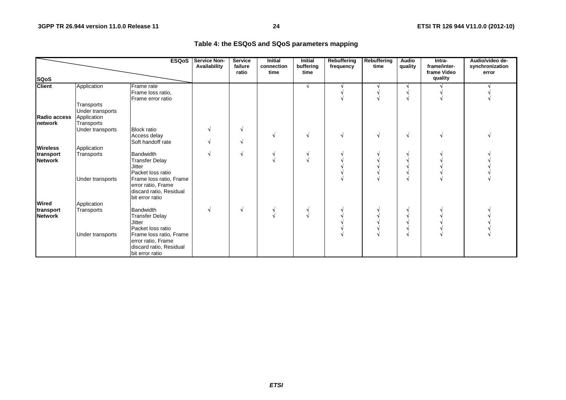#### **Table 4: the ESQoS and SQoS parameters mapping**

|                                 |                                                             | <b>ESQoS</b>                                                                                                                     | <b>Service Non-</b><br>Availability | <b>Service</b><br>failure<br>ratio | <b>Initial</b><br>connection<br>time | <b>Initial</b><br>buffering<br>time | <b>Rebuffering</b><br>frequency | Rebuffering<br>time | <b>Audio</b><br>quality | Intra-<br>frame/inter-<br>frame Video | Audio/video de-<br>synchronization<br>error |
|---------------------------------|-------------------------------------------------------------|----------------------------------------------------------------------------------------------------------------------------------|-------------------------------------|------------------------------------|--------------------------------------|-------------------------------------|---------------------------------|---------------------|-------------------------|---------------------------------------|---------------------------------------------|
| <b>SQoS</b>                     |                                                             |                                                                                                                                  |                                     |                                    |                                      |                                     |                                 |                     |                         | quality                               |                                             |
| <b>Client</b>                   | Application                                                 | Frame rate<br>Frame loss ratio,<br>Frame error ratio                                                                             |                                     |                                    |                                      | N                                   |                                 |                     |                         |                                       |                                             |
| Radio access<br><b>Inetwork</b> | Transports<br>Under transports<br>Application<br>Transports |                                                                                                                                  |                                     |                                    |                                      |                                     |                                 |                     |                         |                                       |                                             |
|                                 | Under transports                                            | <b>Block ratio</b><br>Access delay<br>Soft handoff rate                                                                          |                                     |                                    |                                      |                                     |                                 |                     | N                       |                                       |                                             |
| <b>Wireless</b>                 | Application                                                 |                                                                                                                                  |                                     |                                    |                                      |                                     |                                 |                     |                         |                                       |                                             |
| transport<br><b>Network</b>     | Transports                                                  | Bandwidth<br><b>Transfer Delay</b><br><b>Jitter</b><br>Packet loss ratio                                                         |                                     |                                    |                                      |                                     |                                 |                     |                         |                                       |                                             |
|                                 | Under transports                                            | Frame loss ratio, Frame<br>error ratio, Frame<br>discard ratio, Residual<br>bit error ratio                                      |                                     |                                    |                                      |                                     |                                 |                     |                         |                                       |                                             |
| <b>Wired</b>                    | Application                                                 |                                                                                                                                  |                                     |                                    |                                      |                                     |                                 |                     |                         |                                       |                                             |
| transport<br><b>Network</b>     | Transports<br>Under transports                              | <b>Bandwidth</b><br><b>Transfer Delay</b><br><b>Jitter</b><br>Packet loss ratio<br>Frame loss ratio, Frame<br>error ratio, Frame |                                     | N                                  |                                      | $\sim$                              |                                 |                     |                         |                                       |                                             |
|                                 |                                                             | discard ratio, Residual<br>bit error ratio                                                                                       |                                     |                                    |                                      |                                     |                                 |                     |                         |                                       |                                             |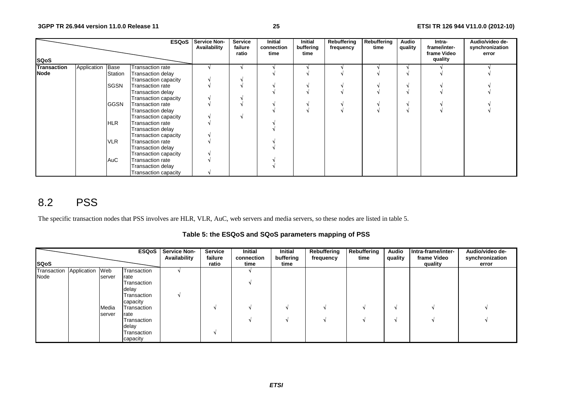|             |                  |             | <b>ESQoS</b>                | <b>Service Non-</b><br>Availability | Service<br>failure<br>ratio | <b>Initial</b><br>connection<br>time | Initial<br>buffering<br>time | Rebuffering<br>frequency | Rebuffering<br>time | Audio<br>quality | Intra-<br>frame/inter-<br>frame Video | Audio/video de-<br>synchronization<br>error |
|-------------|------------------|-------------|-----------------------------|-------------------------------------|-----------------------------|--------------------------------------|------------------------------|--------------------------|---------------------|------------------|---------------------------------------|---------------------------------------------|
| <b>SQoS</b> |                  |             |                             |                                     |                             |                                      |                              |                          |                     |                  | quality                               |                                             |
| Transaction | Application Base |             | Transaction rate            |                                     |                             |                                      |                              |                          |                     |                  |                                       |                                             |
| <b>Node</b> |                  | Station     | Transaction delay           |                                     |                             |                                      |                              |                          |                     |                  |                                       |                                             |
|             |                  |             | Transaction capacity        |                                     |                             |                                      |                              |                          |                     |                  |                                       |                                             |
|             |                  | <b>SGSN</b> | Transaction rate            |                                     |                             |                                      |                              |                          |                     |                  |                                       |                                             |
|             |                  |             | Transaction delay           |                                     |                             |                                      |                              |                          |                     |                  |                                       |                                             |
|             |                  |             | Transaction capacity        |                                     |                             |                                      |                              |                          |                     |                  |                                       |                                             |
|             |                  | <b>GGSN</b> | Transaction rate            |                                     |                             |                                      |                              |                          |                     |                  |                                       |                                             |
|             |                  |             | Transaction delay           |                                     |                             |                                      |                              |                          |                     |                  |                                       |                                             |
|             |                  |             | Transaction capacity        |                                     |                             |                                      |                              |                          |                     |                  |                                       |                                             |
|             |                  | <b>HLR</b>  | Transaction rate            |                                     |                             |                                      |                              |                          |                     |                  |                                       |                                             |
|             |                  |             | Transaction delay           |                                     |                             |                                      |                              |                          |                     |                  |                                       |                                             |
|             |                  |             | Transaction capacity        |                                     |                             |                                      |                              |                          |                     |                  |                                       |                                             |
|             |                  | <b>VLR</b>  | Transaction rate            |                                     |                             |                                      |                              |                          |                     |                  |                                       |                                             |
|             |                  |             | Transaction delay           |                                     |                             |                                      |                              |                          |                     |                  |                                       |                                             |
|             |                  |             | Transaction capacity        |                                     |                             |                                      |                              |                          |                     |                  |                                       |                                             |
|             |                  | AuC         | Transaction rate            |                                     |                             |                                      |                              |                          |                     |                  |                                       |                                             |
|             |                  |             | Transaction delay           |                                     |                             |                                      |                              |                          |                     |                  |                                       |                                             |
|             |                  |             | <b>Transaction capacity</b> |                                     |                             |                                      |                              |                          |                     |                  |                                       |                                             |

# 8.2 PSS

The specific transaction nodes that PSS involves are HLR, VLR, AuC, web servers and media servers, so these nodes are listed in table 5.

**Table 5: the ESQoS and SQoS parameters mapping of PSS** 

|                             |        |             | <b>ESQoS</b> Service Non-<br>Availability | <b>Service</b><br>failure | Initial<br>connection | Initial<br>buffering | Rebuffering<br>frequency | Rebuffering<br>time | <b>Audio</b><br>quality | Intra-frame/inter-<br>frame Video | Audio/video de-<br>synchronization |
|-----------------------------|--------|-------------|-------------------------------------------|---------------------------|-----------------------|----------------------|--------------------------|---------------------|-------------------------|-----------------------------------|------------------------------------|
| <b>SQoS</b>                 |        |             |                                           | ratio                     | time                  | time                 |                          |                     |                         | quality                           | error                              |
| Transaction Application Web |        | Transaction |                                           |                           |                       |                      |                          |                     |                         |                                   |                                    |
| Node                        | server | rate        |                                           |                           |                       |                      |                          |                     |                         |                                   |                                    |
|                             |        | Transaction |                                           |                           |                       |                      |                          |                     |                         |                                   |                                    |
|                             |        | delay       |                                           |                           |                       |                      |                          |                     |                         |                                   |                                    |
|                             |        | Transaction |                                           |                           |                       |                      |                          |                     |                         |                                   |                                    |
|                             |        | capacity    |                                           |                           |                       |                      |                          |                     |                         |                                   |                                    |
|                             | Media  | Transaction |                                           |                           |                       |                      |                          |                     |                         |                                   |                                    |
|                             | server | rate        |                                           |                           |                       |                      |                          |                     |                         |                                   |                                    |
|                             |        | Transaction |                                           |                           |                       |                      |                          |                     |                         |                                   |                                    |
|                             |        | delay       |                                           |                           |                       |                      |                          |                     |                         |                                   |                                    |
|                             |        | Transaction |                                           |                           |                       |                      |                          |                     |                         |                                   |                                    |
|                             |        | capacity    |                                           |                           |                       |                      |                          |                     |                         |                                   |                                    |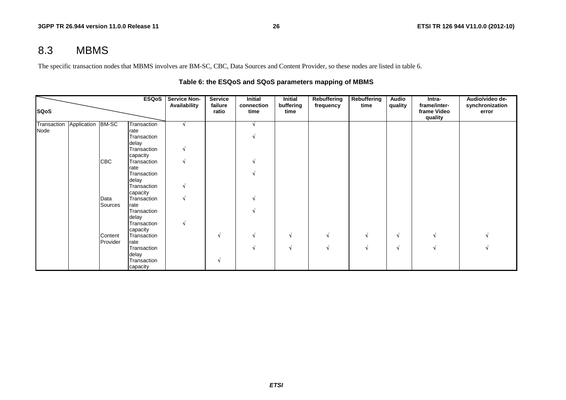# 8.3 MBMS

The specific transaction nodes that MBMS involves are BM-SC, CBC, Data Sources and Content Provider, so these nodes are listed in table 6.

|             |                               |            | ESQoS                | <b>Service Non-</b> | <b>Service</b>   | <b>Initial</b>     | Initial           | <b>Rebuffering</b> | Rebuffering | Audio   | Intra-                                 | Audio/video de-          |
|-------------|-------------------------------|------------|----------------------|---------------------|------------------|--------------------|-------------------|--------------------|-------------|---------|----------------------------------------|--------------------------|
| <b>SQoS</b> |                               |            |                      | Availability        | failure<br>ratio | connection<br>time | buffering<br>time | frequency          | time        | quality | frame/inter-<br>frame Video<br>quality | synchronization<br>error |
|             | Transaction Application BM-SC |            | Transaction          |                     |                  |                    |                   |                    |             |         |                                        |                          |
| Node        |                               |            | rate                 |                     |                  |                    |                   |                    |             |         |                                        |                          |
|             |                               |            | Transaction          |                     |                  |                    |                   |                    |             |         |                                        |                          |
|             |                               |            | delay                |                     |                  |                    |                   |                    |             |         |                                        |                          |
|             |                               |            | Transaction          |                     |                  |                    |                   |                    |             |         |                                        |                          |
|             |                               |            | capacity             |                     |                  |                    |                   |                    |             |         |                                        |                          |
|             |                               | <b>CBC</b> | Transaction          |                     |                  |                    |                   |                    |             |         |                                        |                          |
|             |                               |            | rate                 |                     |                  |                    |                   |                    |             |         |                                        |                          |
|             |                               |            | Transaction          |                     |                  |                    |                   |                    |             |         |                                        |                          |
|             |                               |            | delay<br>Transaction |                     |                  |                    |                   |                    |             |         |                                        |                          |
|             |                               |            | capacity             |                     |                  |                    |                   |                    |             |         |                                        |                          |
|             |                               | Data       | Transaction          |                     |                  |                    |                   |                    |             |         |                                        |                          |
|             |                               | Sources    | rate                 |                     |                  |                    |                   |                    |             |         |                                        |                          |
|             |                               |            | Transaction          |                     |                  |                    |                   |                    |             |         |                                        |                          |
|             |                               |            | delay                |                     |                  |                    |                   |                    |             |         |                                        |                          |
|             |                               |            | Transaction          |                     |                  |                    |                   |                    |             |         |                                        |                          |
|             |                               |            | capacity             |                     |                  |                    |                   |                    |             |         |                                        |                          |
|             |                               | Content    | Transaction          |                     | N                |                    | N                 | V                  |             | N       |                                        |                          |
|             |                               | Provider   | rate                 |                     |                  |                    |                   |                    |             |         |                                        |                          |
|             |                               |            | Transaction          |                     |                  |                    | N                 | N                  |             | N       |                                        |                          |
|             |                               |            | delay                |                     |                  |                    |                   |                    |             |         |                                        |                          |
|             |                               |            | Transaction          |                     | N                |                    |                   |                    |             |         |                                        |                          |
|             |                               |            | capacity             |                     |                  |                    |                   |                    |             |         |                                        |                          |

#### **Table 6: the ESQoS and SQoS parameters mapping of MBMS**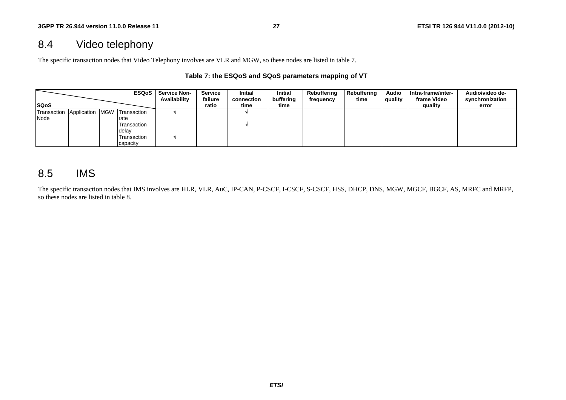# 8.4 Video telephony

The specific transaction nodes that Video Telephony involves are VLR and MGW, so these nodes are listed in table 7.

#### **Table 7: the ESQoS and SQoS parameters mapping of VT**

|                         |  | <b>ESQoS</b>    | <b>Service Non-</b><br>Availability | Service<br>failure | <b>Initial</b><br>connection | <b>Initial</b><br>buffering | Rebuffering<br>frequency | Rebuffering<br>time | <b>Audio</b><br>quality | Intra-frame/inter-<br>frame Video | Audio/video de-<br>synchronization |
|-------------------------|--|-----------------|-------------------------------------|--------------------|------------------------------|-----------------------------|--------------------------|---------------------|-------------------------|-----------------------------------|------------------------------------|
| <b>ISQoS</b>            |  |                 |                                     | ratio              | time                         | time                        |                          |                     |                         | quality                           | error                              |
| Transaction Application |  | MGW Transaction |                                     |                    |                              |                             |                          |                     |                         |                                   |                                    |
| Node                    |  | rate            |                                     |                    |                              |                             |                          |                     |                         |                                   |                                    |
|                         |  | Transaction     |                                     |                    |                              |                             |                          |                     |                         |                                   |                                    |
|                         |  | delay           |                                     |                    |                              |                             |                          |                     |                         |                                   |                                    |
|                         |  | Transaction     |                                     |                    |                              |                             |                          |                     |                         |                                   |                                    |
|                         |  | capacity        |                                     |                    |                              |                             |                          |                     |                         |                                   |                                    |

## 8.5 IMS

The specific transaction nodes that IMS involves are HLR, VLR, AuC, IP-CAN, P-CSCF, I-CSCF, S-CSCF, HSS, DHCP, DNS, MGW, MGCF, BGCF, AS, MRFC and MRFP, so these nodes are listed in table 8.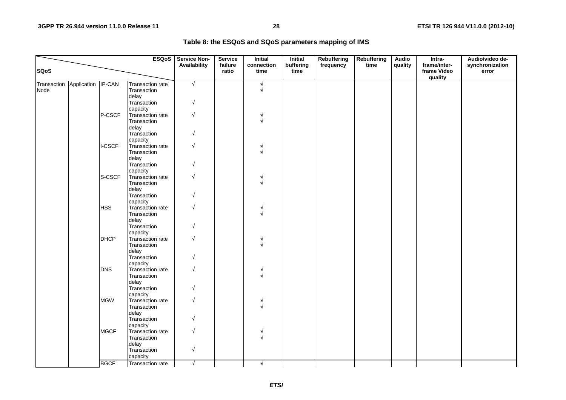| Table 8: the ESQoS and SQoS parameters mapping of IMS |  |
|-------------------------------------------------------|--|
|-------------------------------------------------------|--|

|             |                    |             | <b>ESQoS</b>            | <b>Service Non-</b> | <b>Service</b>   | <b>Initial</b>     | <b>Initial</b>    | Rebuffering | <b>Rebuffering</b> | <b>Audio</b> | Intra-                                 | Audio/video de-          |
|-------------|--------------------|-------------|-------------------------|---------------------|------------------|--------------------|-------------------|-------------|--------------------|--------------|----------------------------------------|--------------------------|
| <b>SQoS</b> |                    |             |                         | Availability        | failure<br>ratio | connection<br>time | buffering<br>time | frequency   | time               | quality      | frame/inter-<br>frame Video<br>quality | synchronization<br>error |
| Transaction | Application IP-CAN |             | <b>Transaction rate</b> | $\sqrt{ }$          |                  | $\sqrt{ }$         |                   |             |                    |              |                                        |                          |
| Node        |                    |             | Transaction             |                     |                  | $\sqrt{ }$         |                   |             |                    |              |                                        |                          |
|             |                    |             | delay                   |                     |                  |                    |                   |             |                    |              |                                        |                          |
|             |                    |             | Transaction             | N                   |                  |                    |                   |             |                    |              |                                        |                          |
|             |                    |             | capacity                |                     |                  |                    |                   |             |                    |              |                                        |                          |
|             |                    | P-CSCF      | Transaction rate        | N                   |                  |                    |                   |             |                    |              |                                        |                          |
|             |                    |             | Transaction             |                     |                  |                    |                   |             |                    |              |                                        |                          |
|             |                    |             | delay<br>Transaction    |                     |                  |                    |                   |             |                    |              |                                        |                          |
|             |                    |             | capacity                |                     |                  |                    |                   |             |                    |              |                                        |                          |
|             |                    | I-CSCF      | Transaction rate        | $\sqrt{ }$          |                  |                    |                   |             |                    |              |                                        |                          |
|             |                    |             | Transaction             |                     |                  |                    |                   |             |                    |              |                                        |                          |
|             |                    |             | delay                   |                     |                  |                    |                   |             |                    |              |                                        |                          |
|             |                    |             | Transaction             |                     |                  |                    |                   |             |                    |              |                                        |                          |
|             |                    |             | capacity                |                     |                  |                    |                   |             |                    |              |                                        |                          |
|             |                    | S-CSCF      | Transaction rate        | V                   |                  |                    |                   |             |                    |              |                                        |                          |
|             |                    |             | Transaction             |                     |                  |                    |                   |             |                    |              |                                        |                          |
|             |                    |             | delay                   |                     |                  |                    |                   |             |                    |              |                                        |                          |
|             |                    |             | Transaction             |                     |                  |                    |                   |             |                    |              |                                        |                          |
|             |                    |             | capacity                |                     |                  |                    |                   |             |                    |              |                                        |                          |
|             |                    | <b>HSS</b>  | Transaction rate        | $\sqrt{ }$          |                  |                    |                   |             |                    |              |                                        |                          |
|             |                    |             | Transaction<br>delay    |                     |                  |                    |                   |             |                    |              |                                        |                          |
|             |                    |             | Transaction             | N                   |                  |                    |                   |             |                    |              |                                        |                          |
|             |                    |             | capacity                |                     |                  |                    |                   |             |                    |              |                                        |                          |
|             |                    | <b>DHCP</b> | Transaction rate        | $\sqrt{ }$          |                  |                    |                   |             |                    |              |                                        |                          |
|             |                    |             | Transaction             |                     |                  |                    |                   |             |                    |              |                                        |                          |
|             |                    |             | delay                   |                     |                  |                    |                   |             |                    |              |                                        |                          |
|             |                    |             | Transaction             |                     |                  |                    |                   |             |                    |              |                                        |                          |
|             |                    |             | capacity                |                     |                  |                    |                   |             |                    |              |                                        |                          |
|             |                    | <b>DNS</b>  | Transaction rate        | N                   |                  |                    |                   |             |                    |              |                                        |                          |
|             |                    |             | Transaction             |                     |                  |                    |                   |             |                    |              |                                        |                          |
|             |                    |             | delay                   |                     |                  |                    |                   |             |                    |              |                                        |                          |
|             |                    |             | Transaction             | $\sqrt{ }$          |                  |                    |                   |             |                    |              |                                        |                          |
|             |                    |             | capacity                | $\sqrt{ }$          |                  |                    |                   |             |                    |              |                                        |                          |
|             |                    | <b>MGW</b>  | Transaction rate        |                     |                  |                    |                   |             |                    |              |                                        |                          |
|             |                    |             | Transaction<br>delay    |                     |                  |                    |                   |             |                    |              |                                        |                          |
|             |                    |             | Transaction             |                     |                  |                    |                   |             |                    |              |                                        |                          |
|             |                    |             | capacity                |                     |                  |                    |                   |             |                    |              |                                        |                          |
|             |                    | <b>MGCF</b> | Transaction rate        | $\sqrt{ }$          |                  |                    |                   |             |                    |              |                                        |                          |
|             |                    |             | Transaction             |                     |                  |                    |                   |             |                    |              |                                        |                          |
|             |                    |             | delay                   |                     |                  |                    |                   |             |                    |              |                                        |                          |
|             |                    |             | Transaction             | $\sqrt{ }$          |                  |                    |                   |             |                    |              |                                        |                          |
|             |                    |             | capacity                |                     |                  |                    |                   |             |                    |              |                                        |                          |
|             |                    | <b>BGCF</b> | Transaction rate        | $\sqrt{}$           |                  | $\sqrt{ }$         |                   |             |                    |              |                                        |                          |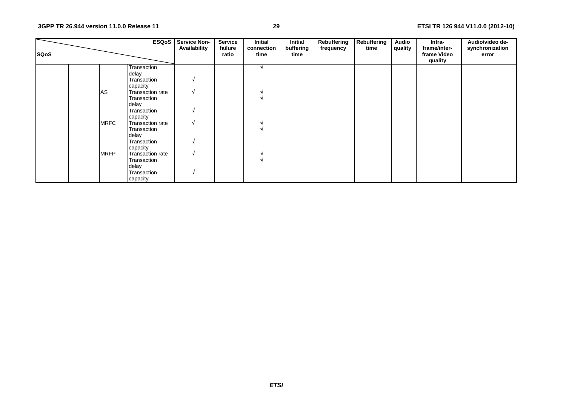| <b>SQoS</b> |             | <b>ESQoS</b>            | <b>Service Non-</b><br>Availability | <b>Service</b><br>failure<br>ratio | <b>Initial</b><br>connection<br>time | Initial<br>buffering<br>time | Rebuffering<br>frequency | Rebuffering<br>time | <b>Audio</b><br>quality | Intra-<br>frame/inter-<br>frame Video<br>quality | Audio/video de-<br>synchronization<br>error |
|-------------|-------------|-------------------------|-------------------------------------|------------------------------------|--------------------------------------|------------------------------|--------------------------|---------------------|-------------------------|--------------------------------------------------|---------------------------------------------|
|             |             | Transaction             |                                     |                                    |                                      |                              |                          |                     |                         |                                                  |                                             |
|             |             | delay                   |                                     |                                    |                                      |                              |                          |                     |                         |                                                  |                                             |
|             |             | Transaction<br>capacity | N                                   |                                    |                                      |                              |                          |                     |                         |                                                  |                                             |
|             | <b>AS</b>   | Transaction rate        | N                                   |                                    |                                      |                              |                          |                     |                         |                                                  |                                             |
|             |             | Transaction             |                                     |                                    |                                      |                              |                          |                     |                         |                                                  |                                             |
|             |             | delay                   |                                     |                                    |                                      |                              |                          |                     |                         |                                                  |                                             |
|             |             | Transaction             | N                                   |                                    |                                      |                              |                          |                     |                         |                                                  |                                             |
|             |             | capacity                |                                     |                                    |                                      |                              |                          |                     |                         |                                                  |                                             |
|             | <b>MRFC</b> | Transaction rate        | N                                   |                                    |                                      |                              |                          |                     |                         |                                                  |                                             |
|             |             | Transaction             |                                     |                                    |                                      |                              |                          |                     |                         |                                                  |                                             |
|             |             | delay                   |                                     |                                    |                                      |                              |                          |                     |                         |                                                  |                                             |
|             |             | Transaction             | N                                   |                                    |                                      |                              |                          |                     |                         |                                                  |                                             |
|             |             | capacity                |                                     |                                    |                                      |                              |                          |                     |                         |                                                  |                                             |
|             | <b>MRFP</b> | Transaction rate        | N                                   |                                    |                                      |                              |                          |                     |                         |                                                  |                                             |
|             |             | Transaction             |                                     |                                    |                                      |                              |                          |                     |                         |                                                  |                                             |
|             |             | delay                   |                                     |                                    |                                      |                              |                          |                     |                         |                                                  |                                             |
|             |             | Transaction             | N                                   |                                    |                                      |                              |                          |                     |                         |                                                  |                                             |
|             |             | capacity                |                                     |                                    |                                      |                              |                          |                     |                         |                                                  |                                             |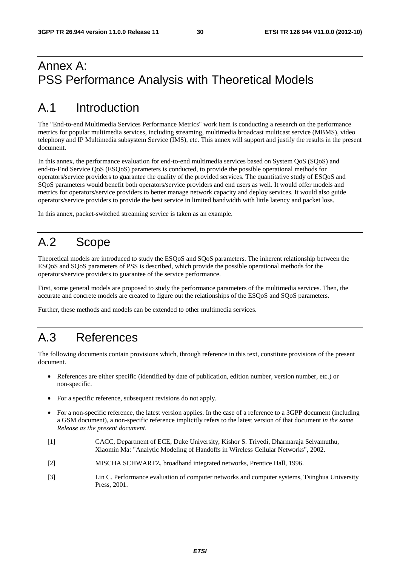# Annex A: PSS Performance Analysis with Theoretical Models

# A.1 Introduction

The "End-to-end Multimedia Services Performance Metrics" work item is conducting a research on the performance metrics for popular multimedia services, including streaming, multimedia broadcast multicast service (MBMS), video telephony and IP Multimedia subsystem Service (IMS), etc. This annex will support and justify the results in the present document.

In this annex, the performance evaluation for end-to-end multimedia services based on System QoS (SQoS) and end-to-End Service QoS (ESQoS) parameters is conducted, to provide the possible operational methods for operators/service providers to guarantee the quality of the provided services. The quantitative study of ESQoS and SQoS parameters would benefit both operators/service providers and end users as well. It would offer models and metrics for operators/service providers to better manage network capacity and deploy services. It would also guide operators/service providers to provide the best service in limited bandwidth with little latency and packet loss.

In this annex, packet-switched streaming service is taken as an example.

# A.2 Scope

Theoretical models are introduced to study the ESQoS and SQoS parameters. The inherent relationship between the ESQoS and SQoS parameters of PSS is described, which provide the possible operational methods for the operators/service providers to guarantee of the service performance.

First, some general models are proposed to study the performance parameters of the multimedia services. Then, the accurate and concrete models are created to figure out the relationships of the ESQoS and SQoS parameters.

Further, these methods and models can be extended to other multimedia services.

# A.3 References

The following documents contain provisions which, through reference in this text, constitute provisions of the present document.

- References are either specific (identified by date of publication, edition number, version number, etc.) or non-specific.
- For a specific reference, subsequent revisions do not apply.
- For a non-specific reference, the latest version applies. In the case of a reference to a 3GPP document (including a GSM document), a non-specific reference implicitly refers to the latest version of that document *in the same Release as the present document*.
- [1] CACC, Department of ECE, Duke University, Kishor S. Trivedi, Dharmaraja Selvamuthu, Xiaomin Ma: "Analytic Modeling of Handoffs in Wireless Cellular Networks", 2002.
- [2] MISCHA SCHWARTZ, broadband integrated networks, Prentice Hall, 1996.
- [3] Lin C. Performance evaluation of computer networks and computer systems, Tsinghua University Press, 2001.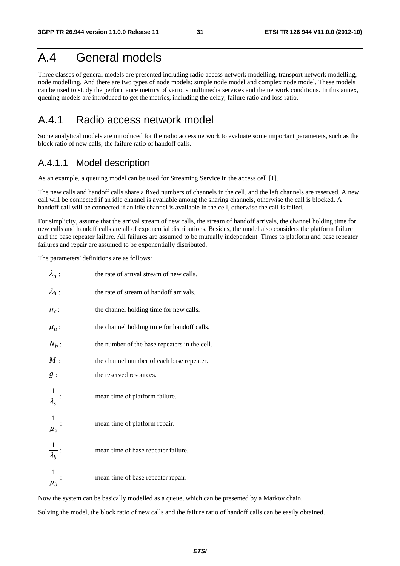# A.4 General models

Three classes of general models are presented including radio access network modelling, transport network modelling, node modelling. And there are two types of node models: simple node model and complex node model. These models can be used to study the performance metrics of various multimedia services and the network conditions. In this annex, queuing models are introduced to get the metrics, including the delay, failure ratio and loss ratio.

## A.4.1 Radio access network model

Some analytical models are introduced for the radio access network to evaluate some important parameters, such as the block ratio of new calls, the failure ratio of handoff calls.

#### A.4.1.1 Model description

As an example, a queuing model can be used for Streaming Service in the access cell [1].

The new calls and handoff calls share a fixed numbers of channels in the cell, and the left channels are reserved. A new call will be connected if an idle channel is available among the sharing channels, otherwise the call is blocked. A handoff call will be connected if an idle channel is available in the cell, otherwise the call is failed.

For simplicity, assume that the arrival stream of new calls, the stream of handoff arrivals, the channel holding time for new calls and handoff calls are all of exponential distributions. Besides, the model also considers the platform failure and the base repeater failure. All failures are assumed to be mutually independent. Times to platform and base repeater failures and repair are assumed to be exponentially distributed.

The parameters' definitions are as follows:

| $\lambda_n$ :           | the rate of arrival stream of new calls.      |
|-------------------------|-----------------------------------------------|
| $\lambda_h$ :           | the rate of stream of handoff arrivals.       |
| $\mu_c$ :               | the channel holding time for new calls.       |
| $\mu_n$ :               | the channel holding time for handoff calls.   |
| $N_b$ :                 | the number of the base repeaters in the cell. |
| M:                      | the channel number of each base repeater.     |
| g:                      | the reserved resources.                       |
| $\frac{1}{\lambda_s}$ : | mean time of platform failure.                |
| $\frac{1}{\mu_s}$ :     | mean time of platform repair.                 |
| $\frac{1}{\lambda_b}$ : | mean time of base repeater failure.           |
| $\overline{\mu_{h}}$    | mean time of base repeater repair.            |

Now the system can be basically modelled as a queue, which can be presented by a Markov chain.

Solving the model, the block ratio of new calls and the failure ratio of handoff calls can be easily obtained.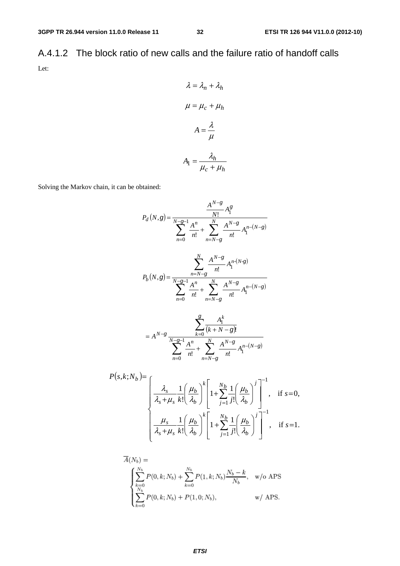A.4.1.2 The block ratio of new calls and the failure ratio of handoff calls Let:

$$
\lambda = \lambda_n + \lambda_h
$$

$$
\mu = \mu_c + \mu_h
$$

$$
A = \frac{\lambda}{\mu}
$$

$$
A_1 = \frac{\lambda_h}{\mu_c + \mu_h}
$$

Solving the Markov chain, it can be obtained:

$$
P_d(N,g) = \frac{A^{N-g}}{N!} A_1^g
$$
  
\n
$$
P_d(N,g) = \frac{A^{N-g-1}}{N!} A_1^m + \sum_{n=N-g}^{N} \frac{A^{N-g}}{n!} A_1^{n-(N-g)}
$$
  
\n
$$
P_b(N,g) = \frac{\sum_{n=N-g}^{N} A_1^{N-g}}{n!} A_1^{n-(N-g)}
$$
  
\n
$$
P_b(N,g) = \frac{\sum_{n=N-g}^{N} A_1^{N-g}}{n!} A_1^{n-(N-g)}
$$
  
\n
$$
= A^{N-g} \frac{\sum_{k=0}^{g} A_1^k}{(k+N-g)!}
$$
  
\n
$$
= A^{N-g} \frac{\sum_{k=0}^{g} A_1^k}{n!} + \sum_{n=N-g}^{N} \frac{A^{N-g}}{n!} A_1^{n-(N-g)}
$$
  
\n
$$
P(s,k;N_b) = \frac{\sum_{n=0}^{N} A_1^m}{\sum_{n=N-g}^{N} A_1^m} \frac{A_1^{N-g}}{n!} A_1^{n-(N-g)}
$$
  
\n
$$
P(s,k;N_b) = \frac{\sum_{n=0}^{N} A_1^m}{\sum_{n=N-g}^{N} A_1^m} \frac{1}{\sum_{j=1}^{N} j!} \left(\frac{\mu_b}{\lambda_b}\right)^j \Bigg|^{-1}, \text{ if } s=0,
$$

$$
\begin{cases}\n\lambda_s + \mu_s & k! \left(\lambda_b\right) \left[\frac{j-1}{j}\right] \left(\lambda_b\right) \\
\frac{\mu_s}{\lambda_s + \mu_s} \frac{1}{k!} \left(\frac{\mu_b}{\lambda_b}\right)^k \left[1 + \sum_{j=1}^{N_b} \frac{1}{j!} \left(\frac{\mu_b}{\lambda_b}\right)^j\right]^{-1}, & \text{if } s=1.\n\end{cases}
$$

$$
\bar{A}(N_b) = \begin{cases}\n\sum_{k=0}^{N_b} P(0, k; N_b) + \sum_{k=0}^{N_b} P(1, k; N_b) \frac{N_b - k}{N_b}, & \text{w/o APS} \\
\sum_{k=0}^{N_b} P(0, k; N_b) + P(1, 0; N_b), & \text{w/ APS.} \n\end{cases}
$$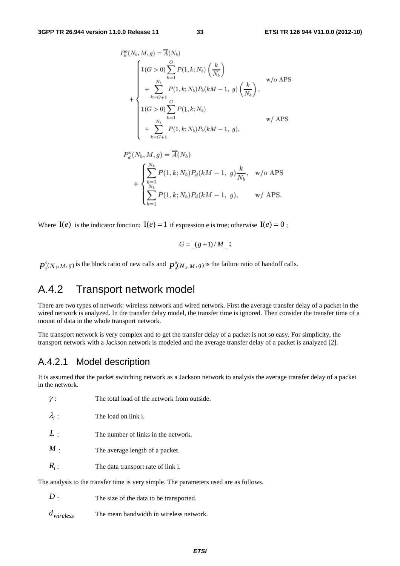$$
P_b^o(N_b, M, g) = \overline{A}(N_b)
$$
  
\n
$$
+ \begin{cases}\n1(G > 0) \sum_{k=1}^G P(1, k; N_b) \left(\frac{k}{N_b}\right) \\
+ \sum_{k=G+1}^{N_b} P(1, k; N_b) P_b(kM - 1, g) \left(\frac{k}{N_b}\right), \\
1(G > 0) \sum_{k=1}^G P(1, k; N_b) \\
+ \sum_{k=G+1}^{N_b} P(1, k; N_b) P_b(kM - 1, g), \\
W/ \text{APS}\n\end{cases}
$$

$$
P_d^o(N_b, M, g) = \overline{A}(N_b)
$$
  
+ 
$$
\begin{cases} \sum_{k=1}^{N_b} P(1, k; N_b) P_d(kM - 1, g) \frac{k}{N_b}, & \text{w/o APS} \\ \sum_{k=1}^{N_b} P(1, k; N_b) P_d(kM - 1, g), & \text{w/ APS.} \end{cases}
$$

Where  $I(e)$  is the indicator function:  $I(e) = 1$  if expression e is true; otherwise  $I(e) = 0$ ;

$$
G = \lfloor (g+1)/M \rfloor;
$$

0  $P_b^0(N_b, M, g)$  is the block ratio of new calls and  $P_a^0(N_b, M, g)$  is the failure ratio of handoff calls.

## A.4.2 Transport network model

There are two types of network: wireless network and wired network. First the average transfer delay of a packet in the wired network is analyzed. In the transfer delay model, the transfer time is ignored. Then consider the transfer time of a mount of data in the whole transport network.

The transport network is very complex and to get the transfer delay of a packet is not so easy. For simplicity, the transport network with a Jackson network is modeled and the average transfer delay of a packet is analyzed [2].

## A.4.2.1 Model description

It is assumed that the packet switching network as a Jackson network to analysis the average transfer delay of a packet in the network.

| ,,                                                                                    | THE total foad of the hetwork from outside. |  |  |  |  |  |  |
|---------------------------------------------------------------------------------------|---------------------------------------------|--|--|--|--|--|--|
| $\lambda_i$ :                                                                         | The load on link i.                         |  |  |  |  |  |  |
| L:                                                                                    | The number of links in the network.         |  |  |  |  |  |  |
| $M$ .                                                                                 | The average length of a packet.             |  |  |  |  |  |  |
| $R_i$ :                                                                               | The data transport rate of link i.          |  |  |  |  |  |  |
| The analysis to the transfer time is very simple. The parameters used are as follows. |                                             |  |  |  |  |  |  |

*D* : The size of the data to be transported.

γ : The total load of the network from outside.

*dwireless* The mean bandwidth in wireless network.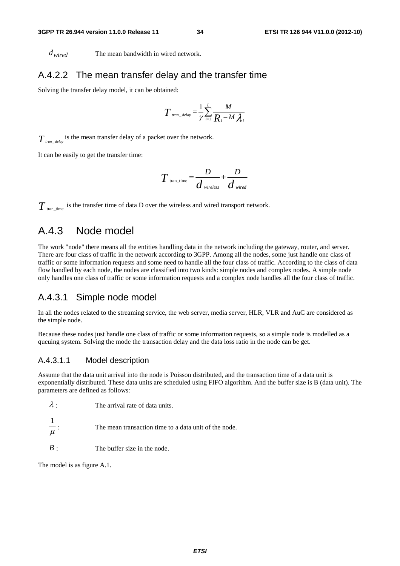*dwired* The mean bandwidth in wired network.

#### A.4.2.2 The mean transfer delay and the transfer time

Solving the transfer delay model, it can be obtained:

$$
T_{\text{tran\_delay}} = \frac{1}{\gamma} \sum_{i=1}^{L} \frac{M}{R_i - M \lambda_i}
$$

 $T_{\textit{tran\_delay}}$  is the mean transfer delay of a packet over the network.

It can be easily to get the transfer time:

$$
T_{\text{tran\_time}} = \frac{D}{d_{\text{wireless}}} + \frac{D}{d_{\text{wired}}}
$$

 $T_{\text{tran time}}$  is the transfer time of data D over the wireless and wired transport network.

## A.4.3 Node model

The work "node" there means all the entities handling data in the network including the gateway, router, and server. There are four class of traffic in the network according to 3GPP. Among all the nodes, some just handle one class of traffic or some information requests and some need to handle all the four class of traffic. According to the class of data flow handled by each node, the nodes are classified into two kinds: simple nodes and complex nodes. A simple node only handles one class of traffic or some information requests and a complex node handles all the four class of traffic.

#### A.4.3.1 Simple node model

In all the nodes related to the streaming service, the web server, media server, HLR, VLR and AuC are considered as the simple node.

Because these nodes just handle one class of traffic or some information requests, so a simple node is modelled as a queuing system. Solving the mode the transaction delay and the data loss ratio in the node can be get.

#### A.4.3.1.1 Model description

Assume that the data unit arrival into the node is Poisson distributed, and the transaction time of a data unit is exponentially distributed. These data units are scheduled using FIFO algorithm. And the buffer size is B (data unit). The parameters are defined as follows:

| $\lambda$ . | The arrival rate of data units. |
|-------------|---------------------------------|
|             |                                 |

μ 1 The mean transaction time to a data unit of the node.

*B* : The buffer size in the node.

The model is as figure A.1.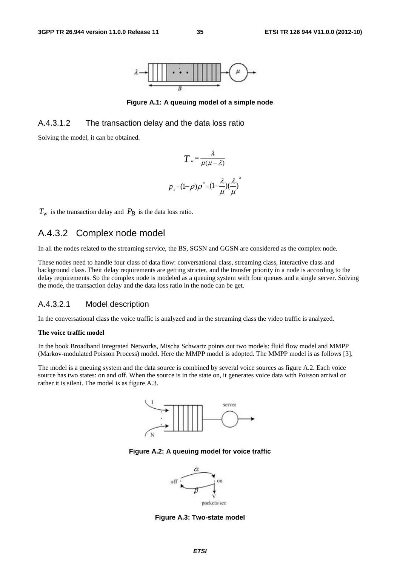

**Figure A.1: A queuing model of a simple node** 

#### A.4.3.1.2 The transaction delay and the data loss ratio

Solving the model, it can be obtained.

$$
T = \frac{\lambda}{\mu(\mu - \lambda)}
$$

$$
p_{B} = (1 - \rho)\rho^{B} = (1 - \frac{\lambda}{\mu})(\frac{\lambda}{\mu})
$$

*B*

 $T_w$  is the transaction delay and  $P_B$  is the data loss ratio.

## A.4.3.2 Complex node model

In all the nodes related to the streaming service, the BS, SGSN and GGSN are considered as the complex node.

These nodes need to handle four class of data flow: conversational class, streaming class, interactive class and background class. Their delay requirements are getting stricter, and the transfer priority in a node is according to the delay requirements. So the complex node is modeled as a queuing system with four queues and a single server. Solving the mode, the transaction delay and the data loss ratio in the node can be get.

#### A.4.3.2.1 Model description

In the conversational class the voice traffic is analyzed and in the streaming class the video traffic is analyzed.

#### **The voice traffic model**

In the book Broadband Integrated Networks, Mischa Schwartz points out two models: fluid flow model and MMPP (Markov-modulated Poisson Process) model. Here the MMPP model is adopted. The MMPP model is as follows [3].

The model is a queuing system and the data source is combined by several voice sources as figure A.2. Each voice source has two states: on and off. When the source is in the state on, it generates voice data with Poisson arrival or rather it is silent. The model is as figure A.3.



**Figure A.2: A queuing model for voice traffic** 



**Figure A.3: Two-state model**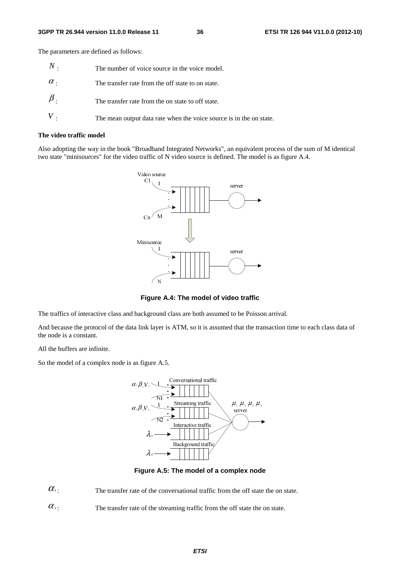The parameters are defined as follows:

| $\,N$ .    | The number of voice source in the voice model.                      |
|------------|---------------------------------------------------------------------|
| $\alpha$ . | The transfer rate from the off state to on state.                   |
| $\beta$ .  | The transfer rate from the on state to off state.                   |
|            | The mean output data rate when the voice source is in the on state. |

#### **The video traffic model**

Also adopting the way in the book "Broadband Integrated Networks", an equivalent process of the sum of M identical two state "minisources" for the video traffic of N video source is defined. The model is as figure A.4.



**Figure A.4: The model of video traffic** 

The traffics of interactive class and background class are both assumed to be Poisson arrival.

And because the protocol of the data link layer is ATM, so it is assumed that the transaction time to each class data of the node is a constant.

All the buffers are infinite.

So the model of a complex node is as figure A.5.



**Figure A.5: The model of a complex node** 

 $\alpha_1$ : The transfer rate of the conversational traffic from the off state the on state.

 $\alpha$ <sup>2</sup>: The transfer rate of the streaming traffic from the off state the on state.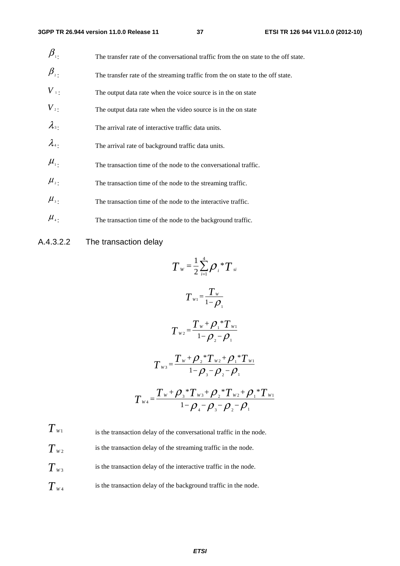| $\beta_{\scriptscriptstyle{\overline{1}}}$ .    | The transfer rate of the conversational traffic from the on state to the off state. |
|-------------------------------------------------|-------------------------------------------------------------------------------------|
| $\beta_{\scriptscriptstyle 2}^{\phantom{\dag}}$ | The transfer rate of the streaming traffic from the on state to the off state.      |
| $V_{\perp}$                                     | The output data rate when the voice source is in the on state                       |
| $V_{2}$ .                                       | The output data rate when the video source is in the on state                       |
| $\lambda_{3}$                                   | The arrival rate of interactive traffic data units.                                 |
| $\lambda_{4}$                                   | The arrival rate of background traffic data units.                                  |
| $\mu_{\scriptscriptstyle 1}$ .                  | The transaction time of the node to the conversational traffic.                     |
| $\mu_{\scriptscriptstyle 2}$ .                  | The transaction time of the node to the streaming traffic.                          |
| $\mu_{\scriptscriptstyle 3}$ .                  | The transaction time of the node to the interactive traffic.                        |
| $\mu_{\scriptscriptstyle{4}}$ .                 | The transaction time of the node to the background traffic.                         |

### A.4.3.2.2 The transaction delay

$$
T_{w} = \frac{1}{2} \sum_{i=1}^{4} \rho_{i} {}^{*}T_{si}
$$
\n
$$
T_{w1} = \frac{T_{w}}{1 - \rho_{1}}
$$
\n
$$
T_{w2} = \frac{T_{w} + \rho_{1} {}^{*}T_{w1}}{1 - \rho_{2} - \rho_{1}}
$$
\n
$$
T_{w3} = \frac{T_{w} + \rho_{2} {}^{*}T_{w2} + \rho_{1} {}^{*}T_{w1}}{1 - \rho_{3} - \rho_{2} - \rho_{1}}
$$
\n
$$
T_{w4} = \frac{T_{w} + \rho_{3} {}^{*}T_{w3} + \rho_{2} {}^{*}T_{w2} + \rho_{1} {}^{*}T_{w1}}{1 - \rho_{4} - \rho_{3} - \rho_{2} - \rho_{1}}
$$

 $T_{W1}$  is the transaction delay of the conversational traffic in the node.  $T_{W2}$  is the transaction delay of the streaming traffic in the node.  $T_{w3}$  is the transaction delay of the interactive traffic in the node.  $T_{w_4}$  is the transaction delay of the background traffic in the node.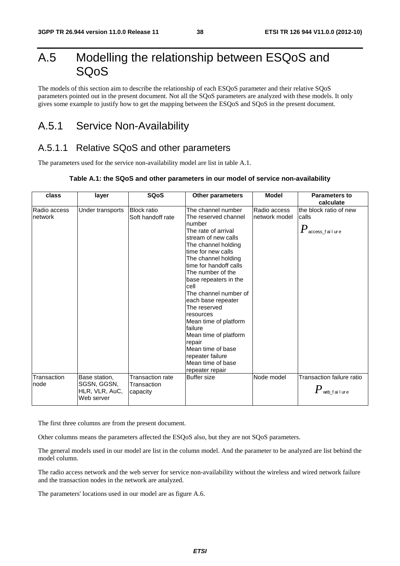# A.5 Modelling the relationship between ESQoS and SQoS

The models of this section aim to describe the relationship of each ESQoS parameter and their relative SQoS parameters pointed out in the present document. Not all the SQoS parameters are analyzed with these models. It only gives some example to justify how to get the mapping between the ESQoS and SQoS in the present document.

# A.5.1 Service Non-Availability

## A.5.1.1 Relative SQoS and other parameters

The parameters used for the service non-availability model are list in table A.1.

#### **Table A.1: the SQoS and other parameters in our model of service non-availability**

| class                   | layer                                                        | <b>SQoS</b>                                 | <b>Other parameters</b>                                                                                                                                                                                                                                                                                                                                                                                                                                                                    | <b>Model</b>                  | <b>Parameters to</b><br>calculate                               |
|-------------------------|--------------------------------------------------------------|---------------------------------------------|--------------------------------------------------------------------------------------------------------------------------------------------------------------------------------------------------------------------------------------------------------------------------------------------------------------------------------------------------------------------------------------------------------------------------------------------------------------------------------------------|-------------------------------|-----------------------------------------------------------------|
| Radio access<br>network | Under transports                                             | <b>Block ratio</b><br>Soft handoff rate     | The channel number<br>The reserved channel<br>number<br>The rate of arrival<br>stream of new calls<br>The channel holding<br>time for new calls<br>The channel holding<br>time for handoff calls<br>The number of the<br>base repeaters in the<br>cell<br>The channel number of<br>each base repeater<br>The reserved<br>resources<br>Mean time of platform<br>failure<br>Mean time of platform<br>repair<br>Mean time of base<br>repeater failure<br>Mean time of base<br>repeater repair | Radio access<br>network model | the block ratio of new<br>calls<br>$P_{\,\rm access\_fail}$ ure |
| Transaction<br>node     | Base station,<br>SGSN, GGSN,<br>HLR, VLR, AuC,<br>Web server | Transaction rate<br>Transaction<br>capacity | <b>Buffer size</b>                                                                                                                                                                                                                                                                                                                                                                                                                                                                         | Node model                    | Transaction failure ratio<br>$\pmb{P}$ web_failure              |

The first three columns are from the present document.

Other columns means the parameters affected the ESQoS also, but they are not SQoS parameters.

The general models used in our model are list in the column model. And the parameter to be analyzed are list behind the model column.

The radio access network and the web server for service non-availability without the wireless and wired network failure and the transaction nodes in the network are analyzed.

The parameters' locations used in our model are as figure A.6.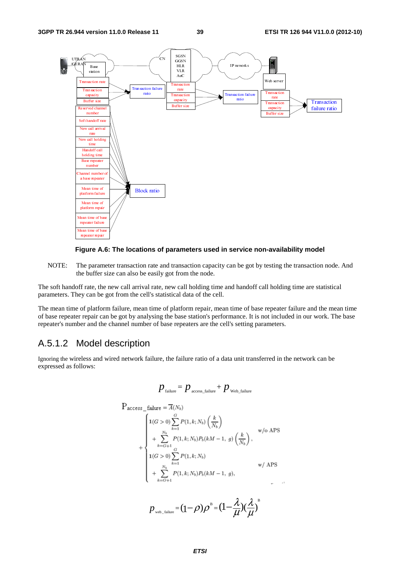



NOTE: The parameter transaction rate and transaction capacity can be got by testing the transaction node. And the buffer size can also be easily got from the node.

The soft handoff rate, the new call arrival rate, new call holding time and handoff call holding time are statistical parameters. They can be got from the cell's statistical data of the cell.

The mean time of platform failure, mean time of platform repair, mean time of base repeater failure and the mean time of base repeater repair can be got by analysing the base station's performance. It is not included in our work. The base repeater's number and the channel number of base repeaters are the cell's setting parameters.

## A.5.1.2 Model description

Ignoring the wireless and wired network failure, the failure ratio of a data unit transferred in the network can be expressed as follows:

$$
p_{\text{failure}} = p_{\text{access\_failure}} + p_{\text{web\_failure}}
$$

$$
P_{access\_failure} = \overline{A}(N_b)
$$
\n
$$
+ \begin{cases}\n1(G > 0) \sum_{k=1}^{G} P(1, k; N_b) \left(\frac{k}{N_b}\right) & \text{w/o APS} \\
+ \sum_{k=G+1}^{N_b} P(1, k; N_b) P_b(kM - 1, g) \left(\frac{k}{N_b}\right), & \text{w/o APS} \\
1(G > 0) \sum_{k=1}^{G} P(1, k; N_b) & \text{w/APS} \\
+ \sum_{k=G+1}^{N_b} P(1, k; N_b) P_b(kM - 1, g), & \text{w/APS}\n\end{cases}
$$

$$
p_{\text{web\_failure}} = (1 - \rho)\rho^B = (1 - \frac{\lambda}{\mu})(\frac{\lambda}{\mu})^B
$$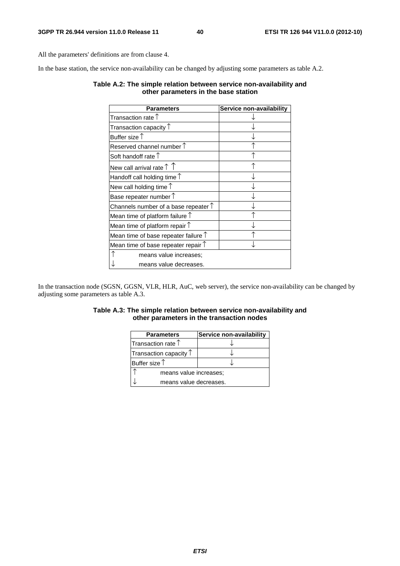All the parameters' definitions are from clause 4.

In the base station, the service non-availability can be changed by adjusting some parameters as table A.2.

#### **Table A.2: The simple relation between service non-availability and other parameters in the base station**

| <b>Parameters</b>                             | Service non-availability |
|-----------------------------------------------|--------------------------|
| Transaction rate $\uparrow$                   |                          |
| Transaction capacity $\uparrow$               |                          |
| Buffer size $\uparrow$                        |                          |
| Reserved channel number $\uparrow$            |                          |
| Soft handoff rate $\uparrow$                  |                          |
| New call arrival rate $\uparrow \uparrow$     |                          |
| Handoff call holding time $\uparrow$          |                          |
| New call holding time $\uparrow$              |                          |
| Base repeater number $\uparrow$               |                          |
| Channels number of a base repeater $\uparrow$ |                          |
| Mean time of platform failure $\uparrow$      |                          |
| Mean time of platform repair $\uparrow$       |                          |
| Mean time of base repeater failure $\uparrow$ |                          |
| Mean time of base repeater repair $\uparrow$  |                          |
| means value increases;                        |                          |
| means value decreases.                        |                          |

In the transaction node (SGSN, GGSN, VLR, HLR, AuC, web server), the service non-availability can be changed by adjusting some parameters as table A.3.

#### **Table A.3: The simple relation between service non-availability and other parameters in the transaction nodes**

| <b>Parameters</b>               | Service non-availability |  |
|---------------------------------|--------------------------|--|
| Transaction rate $\uparrow$     |                          |  |
| Transaction capacity $\uparrow$ |                          |  |
| Buffer size $\uparrow$          |                          |  |
| means value increases;          |                          |  |
| means value decreases.          |                          |  |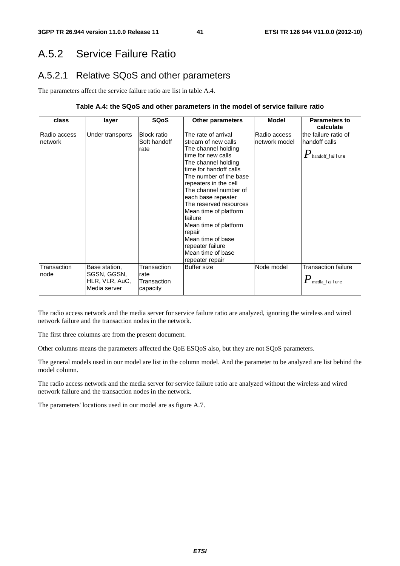# A.5.2 Service Failure Ratio

## A.5.2.1 Relative SQoS and other parameters

The parameters affect the service failure ratio are list in table A.4.

#### **Table A.4: the SQoS and other parameters in the model of service failure ratio**

| class                   | layer                                                          | <b>SQoS</b>                                    | <b>Other parameters</b>                                                                                                                                                                                                                                                                                                                                                                                                      | <b>Model</b>                  | <b>Parameters to</b><br>calculate                                                           |
|-------------------------|----------------------------------------------------------------|------------------------------------------------|------------------------------------------------------------------------------------------------------------------------------------------------------------------------------------------------------------------------------------------------------------------------------------------------------------------------------------------------------------------------------------------------------------------------------|-------------------------------|---------------------------------------------------------------------------------------------|
| Radio access<br>network | Under transports                                               | <b>Block ratio</b><br>Soft handoff<br>rate     | The rate of arrival<br>stream of new calls<br>The channel holding<br>time for new calls<br>The channel holding<br>time for handoff calls<br>The number of the base<br>repeaters in the cell<br>The channel number of<br>each base repeater<br>The reserved resources<br>Mean time of platform<br>failure<br>Mean time of platform<br>repair<br>Mean time of base<br>repeater failure<br>Mean time of base<br>repeater repair | Radio access<br>network model | the failure ratio of<br>handoff calls<br>$\boldsymbol{P}_{\text{\tiny{handoff\_fail}}}$ ure |
| Transaction<br>node     | Base station,<br>SGSN, GGSN,<br>HLR, VLR, AuC,<br>Media server | Transaction<br>rate<br>Transaction<br>capacity | <b>Buffer size</b>                                                                                                                                                                                                                                                                                                                                                                                                           | Node model                    | <b>Transaction failure</b><br>$P_{\scriptscriptstyle \rm{median}$ failure                   |

The radio access network and the media server for service failure ratio are analyzed, ignoring the wireless and wired network failure and the transaction nodes in the network.

The first three columns are from the present document.

Other columns means the parameters affected the QoE ESQoS also, but they are not SQoS parameters.

The general models used in our model are list in the column model. And the parameter to be analyzed are list behind the model column.

The radio access network and the media server for service failure ratio are analyzed without the wireless and wired network failure and the transaction nodes in the network.

The parameters' locations used in our model are as figure A.7.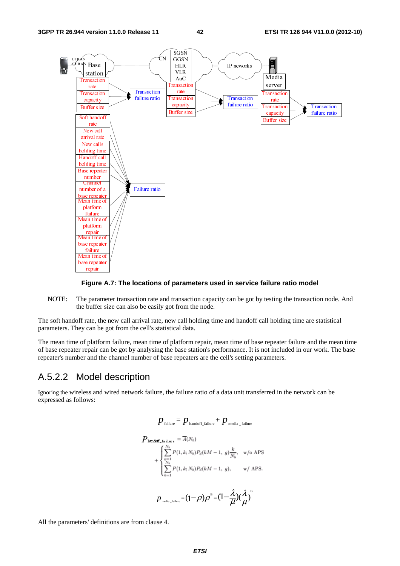

#### **Figure A.7: The locations of parameters used in service failure ratio model**

NOTE: The parameter transaction rate and transaction capacity can be got by testing the transaction node. And the buffer size can also be easily got from the node.

The soft handoff rate, the new call arrival rate, new call holding time and handoff call holding time are statistical parameters. They can be got from the cell's statistical data.

The mean time of platform failure, mean time of platform repair, mean time of base repeater failure and the mean time of base repeater repair can be got by analysing the base station's performance. It is not included in our work. The base repeater's number and the channel number of base repeaters are the cell's setting parameters.

#### A.5.2.2 Model description

Ignoring the wireless and wired network failure, the failure ratio of a data unit transferred in the network can be expressed as follows:

$$
p_{\text{failure}} = p_{\text{handoff\_failure}} + p_{\text{median\_failure}}
$$
\n
$$
P_{\text{handoff\_failure}} = \overline{A}(N_b)
$$
\n
$$
+ \begin{cases} \sum_{k=1}^{N_b} P(1, k; N_b) P_d(kM - 1, g) \frac{k}{N_b}, & \text{w/o APS.} \\ \sum_{k=1}^{N_b} P(1, k; N_b) P_d(kM - 1, g), & \text{w/APS.} \end{cases}
$$
\n
$$
p_{\text{median}} = (1 - \rho)\rho^B = (1 - \frac{\lambda}{\mu})(\frac{\lambda}{\mu})^B
$$

All the parameters' definitions are from clause 4.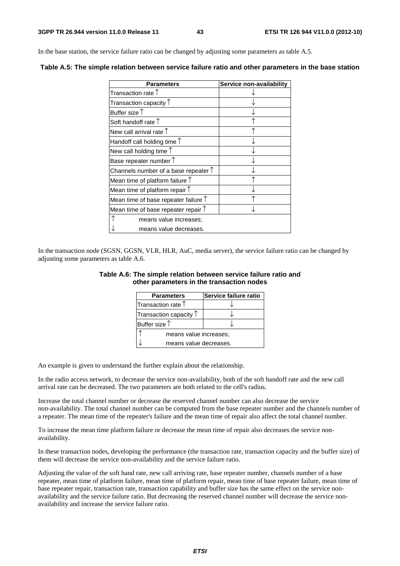In the base station, the service failure ratio can be changed by adjusting some parameters as table A.5.

| <b>Parameters</b>                             | Service non-availability |
|-----------------------------------------------|--------------------------|
| Transaction rate $\uparrow$                   |                          |
| Transaction capacity $\uparrow$               |                          |
| Buffer size $\uparrow$                        |                          |
| Soft handoff rate $\uparrow$                  |                          |
| New call arrival rate $\uparrow$              |                          |
| Handoff call holding time $\uparrow$          |                          |
| New call holding time $\uparrow$              |                          |
| Base repeater number $\uparrow$               |                          |
| Channels number of a base repeater $\uparrow$ |                          |
| Mean time of platform failure $\uparrow$      |                          |
| Mean time of platform repair $\uparrow$       |                          |
| Mean time of base repeater failure $\uparrow$ |                          |
| Mean time of base repeater repair $\uparrow$  |                          |
| means value increases;                        |                          |
| means value decreases.                        |                          |

**Table A.5: The simple relation between service failure ratio and other parameters in the base station** 

In the transaction node (SGSN, GGSN, VLR, HLR, AuC, media server), the service failure ratio can be changed by adjusting some parameters as table A.6.

#### **Table A.6: The simple relation between service failure ratio and other parameters in the transaction nodes**

| <b>Parameters</b>               | Service failure ratio |
|---------------------------------|-----------------------|
| Transaction rate $\uparrow$     |                       |
| Transaction capacity $\uparrow$ |                       |
| Buffer size $\uparrow$          |                       |
| means value increases;          |                       |
| means value decreases.          |                       |

An example is given to understand the further explain about the relationship.

In the radio access network, to decrease the service non-availability, both of the soft handoff rate and the new call arrival rate can be decreased. The two parameters are both related to the cell's radius.

Increase the total channel number or decrease the reserved channel number can also decrease the service non-availability. The total channel number can be computed from the base repeater number and the channels number of a repeater. The mean time of the repeater's failure and the mean time of repair also affect the total channel number.

To increase the mean time platform failure or decrease the mean time of repair also decreases the service nonavailability.

In these transaction nodes, developing the performance (the transaction rate, transaction capacity and the buffer size) of them will decrease the service non-availability and the service failure ratio.

Adjusting the value of the soft hand rate, new call arriving rate, base repeater number, channels number of a base repeater, mean time of platform failure, mean time of platform repair, mean time of base repeater failure, mean time of base repeater repair, transaction rate, transaction capability and buffer size has the same effect on the service nonavailability and the service failure ratio. But decreasing the reserved channel number will decrease the service nonavailability and increase the service failure ratio.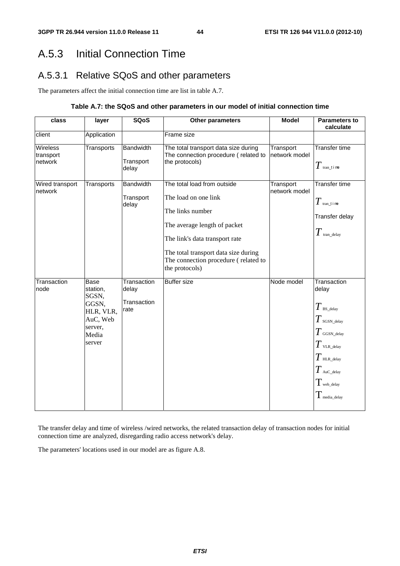# A.5.3 Initial Connection Time

## A.5.3.1 Relative SQoS and other parameters

The parameters affect the initial connection time are list in table A.7.

#### **Table A.7: the SQoS and other parameters in our model of initial connection time**

| class                            | layer                                                                                     | <b>SQoS</b>                                 | Other parameters                                                                                                                                                                                                                            | <b>Model</b>               | <b>Parameters to</b><br>calculate                                                                                                                                                               |
|----------------------------------|-------------------------------------------------------------------------------------------|---------------------------------------------|---------------------------------------------------------------------------------------------------------------------------------------------------------------------------------------------------------------------------------------------|----------------------------|-------------------------------------------------------------------------------------------------------------------------------------------------------------------------------------------------|
| client                           | Application                                                                               |                                             | Frame size                                                                                                                                                                                                                                  |                            |                                                                                                                                                                                                 |
| Wireless<br>transport<br>network | Transports                                                                                | <b>Bandwidth</b><br>Transport<br>delay      | The total transport data size during<br>The connection procedure (related to<br>the protocols)                                                                                                                                              | Transport<br>network model | Transfer time<br>$T$ tran_t i me                                                                                                                                                                |
| Wired transport<br>network       | Transports                                                                                | <b>Bandwidth</b><br>Transport<br>delay      | The total load from outside<br>The load on one link<br>The links number<br>The average length of packet<br>The link's data transport rate<br>The total transport data size during<br>The connection procedure (related to<br>the protocols) | Transport<br>network model | <b>Transfer time</b><br>$T$ tran_t i me<br>Transfer delay<br>$T$ tran_delay                                                                                                                     |
| Transaction<br>node              | Base<br>station,<br>SGSN,<br>GGSN,<br>HLR, VLR,<br>AuC, Web<br>server,<br>Media<br>server | Transaction<br>delay<br>Transaction<br>rate | <b>Buffer size</b>                                                                                                                                                                                                                          | Node model                 | Transaction<br>delay<br>$T$ BS_delay<br>$T$ sgsn_delay<br>$T$ GGSN_delay<br>$T$ vlr._delay<br>$T$ HLR_delay<br>$T$ AuC_delay<br>$T_{\scriptscriptstyle\rm web\_delay}$<br>$\pmb{T}$ media_delay |

The transfer delay and time of wireless /wired networks, the related transaction delay of transaction nodes for initial connection time are analyzed, disregarding radio access network's delay.

The parameters' locations used in our model are as figure A.8.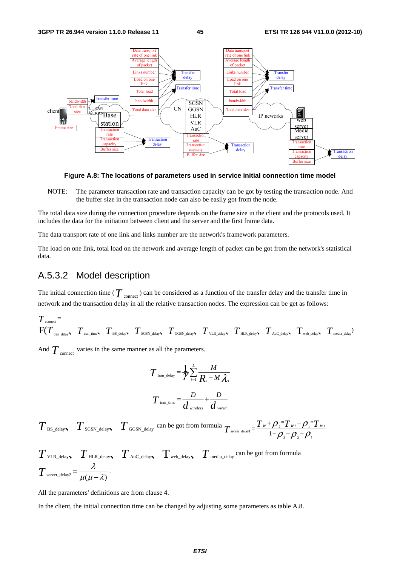

**Figure A.8: The locations of parameters used in service initial connection time model** 

NOTE: The parameter transaction rate and transaction capacity can be got by testing the transaction node. And the buffer size in the transaction node can also be easily got from the node.

The total data size during the connection procedure depends on the frame size in the client and the protocols used. It includes the data for the initiation between client and the server and the first frame data.

The data transport rate of one link and links number are the network's framework parameters.

The load on one link, total load on the network and average length of packet can be got from the network's statistical data.

#### A.5.3.2 Model description

The initial connection time ( $T$  <sub>connect</sub>) can be considered as a function of the transfer delay and the transfer time in network and the transaction delay in all the relative transaction nodes. The expression can be get as follows:

$$
T_{\text{connect}} = \nF(T_{\text{tran\_delay}}, T_{\text{tran\_time}}, T_{\text{BS\_delay}}, T_{\text{SGSN\_delay}}, T_{\text{GGSN\_delay}}, T_{\text{VLR\_delay}}, T_{\text{HL\_delay}}, T_{\text{Auc\_delay}}, T_{\text{web\_delay}}, T_{\text{median}})
$$

And  $T_{\text{connect}}$  varies in the same manner as all the parameters.

$$
T_{\text{tran\_delay}} = \frac{1}{\gamma} \sum_{i=1}^{L} \frac{M}{R_i - M \lambda_i}
$$

$$
T_{\text{tran\_time}} = \frac{D}{d_{\text{wireless}}} + \frac{D}{d_{\text{wire}}
$$

 $T$ <sub>BS\_delay  $T$ <sub>SGSN\_delay</sub>  $T$ <sub>GGSN\_delay</sub> can be got from formula  $T$ <sub>server\_delay1</sub> =  $\frac{T_w + \rho_z * T_{w_2} + \rho_1 * T_{w_1}}{1 - \rho_z - \rho_z - \rho_z}$ </sub> 3  $\mu_2$   $\mu_1$  $T_{w_2}$ +  $Q^*$  $T_{\text{server\_delay1}} = \frac{T_w + \rho_{2} * T_{w2} + \rho_{1} * T_w}{1 - \rho_{3} - \rho_{2} - \rho_{1}}$ 

$$
T_{\text{VLR\_delay}} \sum_{\text{HLR\_delay}} T_{\text{Auc\_delay}} \sum_{\text{web\_delay}} T_{\text{median}} \sum_{\text{c} \text{at } \text{long}} \text{can be got from formula}
$$
  

$$
T_{\text{server\_delay}} = \frac{\lambda}{\mu(\mu - \lambda)}.
$$

All the parameters' definitions are from clause 4.

In the client, the initial connection time can be changed by adjusting some parameters as table A.8.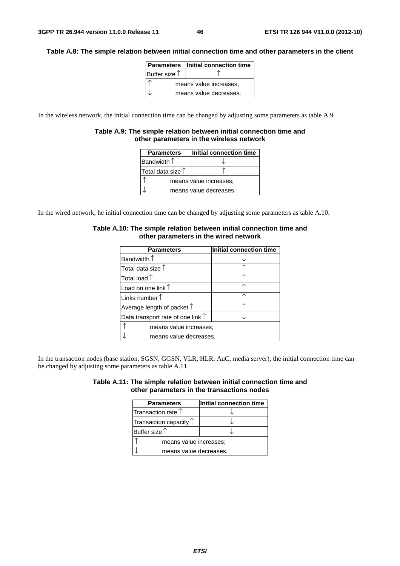#### **Table A.8: The simple relation between initial connection time and other parameters in the client**

|               | <b>Parameters</b> Initial connection time |
|---------------|-------------------------------------------|
| Buffer size 1 |                                           |
|               | means value increases;                    |
|               | means value decreases.                    |

In the wireless network, the initial connection time can be changed by adjusting some parameters as table A.9.

#### **Table A.9: The simple relation between initial connection time and other parameters in the wireless network**

| <b>Parameters</b>          | Initial connection time |  |  |
|----------------------------|-------------------------|--|--|
| Bandwidth $\uparrow$       |                         |  |  |
| Total data size $\uparrow$ |                         |  |  |
| means value increases;     |                         |  |  |
|                            | means value decreases.  |  |  |

In the wired network, he initial connection time can be changed by adjusting some parameters as table A.10.

| <b>Parameters</b>                          | Initial connection time |  |
|--------------------------------------------|-------------------------|--|
| Bandwidth $\uparrow$                       |                         |  |
| Total data size $\uparrow$                 |                         |  |
| Total load $\uparrow$                      |                         |  |
| Load on one link $\uparrow$                |                         |  |
| Links number $\uparrow$                    |                         |  |
| Average length of packet $\uparrow$        |                         |  |
| Data transport rate of one link $\uparrow$ |                         |  |
| means value increases:                     |                         |  |
| means value decreases.                     |                         |  |

#### **Table A.10: The simple relation between initial connection time and other parameters in the wired network**

In the transaction nodes (base station, SGSN, GGSN, VLR, HLR, AuC, media server), the initial connection time can be changed by adjusting some parameters as table A.11.

| Table A.11: The simple relation between initial connection time and |                                            |  |
|---------------------------------------------------------------------|--------------------------------------------|--|
|                                                                     | other parameters in the transactions nodes |  |

| <b>Parameters</b>               | Initial connection time |  |
|---------------------------------|-------------------------|--|
| Transaction rate $\uparrow$     |                         |  |
| Transaction capacity $\uparrow$ |                         |  |
| Buffer size $\uparrow$          |                         |  |
| means value increases:          |                         |  |
| means value decreases.          |                         |  |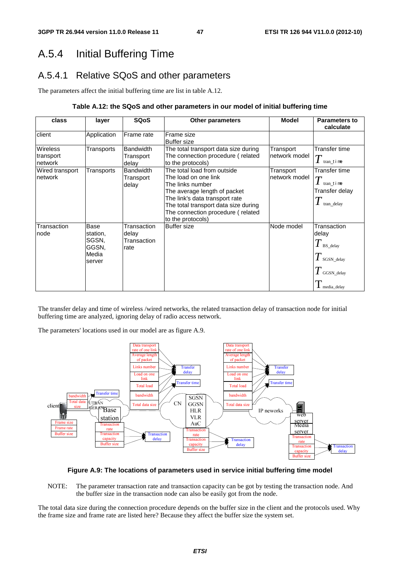# A.5.4 Initial Buffering Time

## A.5.4.1 Relative SQoS and other parameters

The parameters affect the initial buffering time are list in table A.12.

#### **Table A.12: the SQoS and other parameters in our model of initial buffering time**

| class                                   | layer                                                 | <b>SQoS</b>                                 | <b>Other parameters</b>                                                                                                                                                                                                                     | <b>Model</b>                | <b>Parameters to</b><br>calculate                                                         |
|-----------------------------------------|-------------------------------------------------------|---------------------------------------------|---------------------------------------------------------------------------------------------------------------------------------------------------------------------------------------------------------------------------------------------|-----------------------------|-------------------------------------------------------------------------------------------|
| client                                  | Application                                           | Frame rate                                  | Frame size<br><b>Buffer size</b>                                                                                                                                                                                                            |                             |                                                                                           |
| <b>Wireless</b><br>transport<br>network | Transports                                            | <b>Bandwidth</b><br>Transport<br>delay      | The total transport data size during<br>The connection procedure (related<br>to the protocols)                                                                                                                                              | Transport<br>Inetwork model | Transfer time<br>tran time                                                                |
| Wired transport<br>network              | Transports                                            | <b>Bandwidth</b><br>Transport<br>delay      | The total load from outside<br>The load on one link<br>The links number<br>The average length of packet<br>The link's data transport rate<br>The total transport data size during<br>The connection procedure (related<br>to the protocols) | Transport<br>network model  | Transfer time<br>$\overline{T}$<br>tran time<br>Transfer delay<br>tran_delay              |
| Transaction<br>node                     | Base<br>station,<br>SGSN,<br>GGSN,<br>Media<br>server | Transaction<br>delay<br>Transaction<br>rate | <b>Buffer size</b>                                                                                                                                                                                                                          | Node model                  | Transaction<br>delay<br>$T$ BS_delay<br>$T$ sGSN_delay<br>$T$ GGSN_delay<br>I media_delay |

The transfer delay and time of wireless /wired networks, the related transaction delay of transaction node for initial buffering time are analyzed, ignoring delay of radio access network.

The parameters' locations used in our model are as figure A.9.



#### **Figure A.9: The locations of parameters used in service initial buffering time model**

NOTE: The parameter transaction rate and transaction capacity can be got by testing the transaction node. And the buffer size in the transaction node can also be easily got from the node.

The total data size during the connection procedure depends on the buffer size in the client and the protocols used. Why the frame size and frame rate are listed here? Because they affect the buffer size the system set.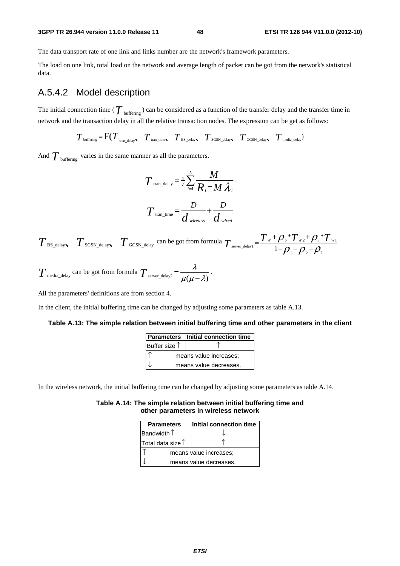#### **3GPP TR 26.944 version 11.0.0 Release 11 48 ETSI TR 126 944 V11.0.0 (2012-10)**

The data transport rate of one link and links number are the network's framework parameters.

The load on one link, total load on the network and average length of packet can be got from the network's statistical data.

### A.5.4.2 Model description

The initial connection time ( $T_{\text{buffering}}$ ) can be considered as a function of the transfer delay and the transfer time in network and the transaction delay in all the relative transaction nodes. The expression can be get as follows:

 $T_{\text{buffering}} = \text{F}(T_{\text{tran delay}} \mid T_{\text{tran time}} \mid T_{\text{BS delay}} \mid T_{\text{SGSN delay}} \mid T_{\text{GGSN delay}} \mid T_{\text{median}})$ 

And  $T_{\text{buffering}}$  varies in the same manner as all the parameters.

$$
T_{\text{tran\_delay}} = \frac{1}{\gamma} \sum_{i=1}^{L} \frac{M}{R_i - M \lambda_i}.
$$

$$
T_{\text{tran\_time}} = \frac{D}{d_{\text{wireless}}} + \frac{D}{d_{\text{wireed}}}
$$

 $T$  BS\_delay  $T$  SGSN\_delay  $T$  GGSN\_delay can be got from formula  $T$  server\_delay1 =  $\frac{T_W + \rho_2 T_W + \rho_1 T_W}{1 - \rho_1 - \rho_2}$ 3  ${\cal F}$  2  ${\cal F}$  1  $*T_{w}$ + $\mathcal{O}.*$  $T_{\text{server\_delay1}} = \frac{T_w + \rho_{_2} * T_{w_2} + \rho_{_1} * T_w}{1 - \rho_{_3} - \rho_{_2} - \rho_{_1}}$ 

$$
T_{\text{median\_delay}}
$$
 can be got from formula  $T_{\text{server\_delay2}} = \frac{\lambda}{\mu(\mu - \lambda)}$ .

All the parameters' definitions are from section 4.

In the client, the initial buffering time can be changed by adjusting some parameters as table A.13.

#### **Table A.13: The simple relation between initial buffering time and other parameters in the client**

|                        | <b>Parameters</b> Initial connection time |
|------------------------|-------------------------------------------|
| Buffer size $\uparrow$ |                                           |
|                        | means value increases;                    |
|                        | means value decreases.                    |

In the wireless network, the initial buffering time can be changed by adjusting some parameters as table A.14.

#### **Table A.14: The simple relation between initial buffering time and other parameters in wireless network**

| <b>Parameters</b>          | Initial connection time |  |  |  |
|----------------------------|-------------------------|--|--|--|
| Bandwidth $\uparrow$       |                         |  |  |  |
| Total data size $\uparrow$ |                         |  |  |  |
| means value increases;     |                         |  |  |  |
|                            | means value decreases.  |  |  |  |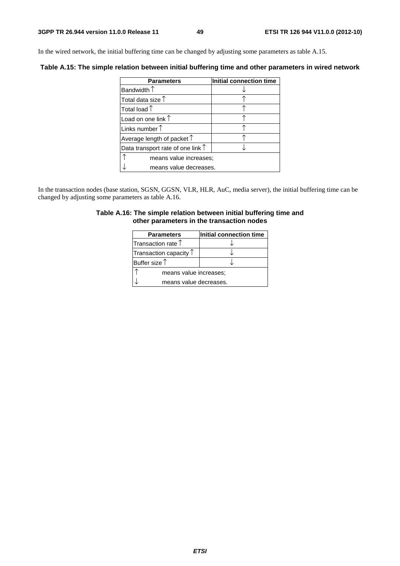In the wired network, the initial buffering time can be changed by adjusting some parameters as table A.15.

**Table A.15: The simple relation between initial buffering time and other parameters in wired network** 

| <b>Parameters</b>                          | Initial connection time |  |  |  |
|--------------------------------------------|-------------------------|--|--|--|
| Bandwidth $\uparrow$                       |                         |  |  |  |
| Total data size 1                          |                         |  |  |  |
| Total load $\uparrow$                      |                         |  |  |  |
| Load on one link $\uparrow$                |                         |  |  |  |
| Links number $\uparrow$                    |                         |  |  |  |
| Average length of packet $\uparrow$        |                         |  |  |  |
| Data transport rate of one link $\uparrow$ |                         |  |  |  |
| means value increases;                     |                         |  |  |  |
| means value decreases.                     |                         |  |  |  |

In the transaction nodes (base station, SGSN, GGSN, VLR, HLR, AuC, media server), the initial buffering time can be changed by adjusting some parameters as table A.16.

#### **Table A.16: The simple relation between initial buffering time and other parameters in the transaction nodes**

| <b>Parameters</b>               | Initial connection time |  |  |
|---------------------------------|-------------------------|--|--|
| Transaction rate $\uparrow$     |                         |  |  |
| Transaction capacity $\uparrow$ |                         |  |  |
| Buffer size $\uparrow$          |                         |  |  |
| means value increases;          |                         |  |  |
| means value decreases.          |                         |  |  |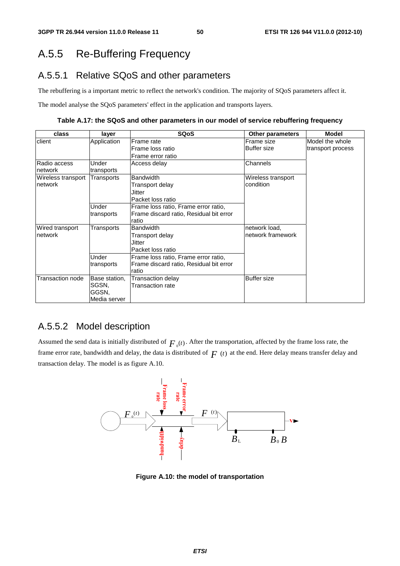# A.5.5 Re-Buffering Frequency

## A.5.5.1 Relative SQoS and other parameters

The rebuffering is a important metric to reflect the network's condition. The majority of SQoS parameters affect it.

The model analyse the SQoS parameters' effect in the application and transports layers.

**Table A.17: the SQoS and other parameters in our model of service rebuffering frequency** 

| class              | layer         | <b>SQoS</b>                             | <b>Other parameters</b> | <b>Model</b>      |
|--------------------|---------------|-----------------------------------------|-------------------------|-------------------|
| client             | Application   | Frame rate                              | Frame size              | Model the whole   |
|                    |               | Frame loss ratio                        | <b>Buffer size</b>      | transport process |
|                    |               | Frame error ratio                       |                         |                   |
| Radio access       | Under         | Access delay                            | Channels                |                   |
| network            | transports    |                                         |                         |                   |
| Wireless transport | Transports    | <b>Bandwidth</b>                        | Wireless transport      |                   |
| network            |               | Transport delay                         | condition               |                   |
|                    |               | Jitter                                  |                         |                   |
|                    |               | Packet loss ratio                       |                         |                   |
|                    | Under         | Frame loss ratio, Frame error ratio,    |                         |                   |
| transports         |               | Frame discard ratio, Residual bit error |                         |                   |
|                    |               | ratio                                   |                         |                   |
| Wired transport    | Transports    | <b>Bandwidth</b>                        | network load,           |                   |
| network            |               | Transport delay                         | network framework       |                   |
|                    |               | Jitter                                  |                         |                   |
|                    |               | Packet loss ratio                       |                         |                   |
|                    | Under         | Frame loss ratio, Frame error ratio,    |                         |                   |
|                    | transports    | Frame discard ratio, Residual bit error |                         |                   |
|                    |               | ratio                                   |                         |                   |
| Transaction node   | Base station, | Transaction delay                       | <b>Buffer size</b>      |                   |
|                    | SGSN.         | <b>Transaction rate</b>                 |                         |                   |
|                    | GGSN,         |                                         |                         |                   |
|                    | Media server  |                                         |                         |                   |

### A.5.5.2 Model description

Assumed the send data is initially distributed of  $F_0(t)$ . After the transportation, affected by the frame loss rate, the frame error rate, bandwidth and delay, the data is distributed of  $F(t)$  at the end. Here delay means transfer delay and transaction delay. The model is as figure A.10.



**Figure A.10: the model of transportation**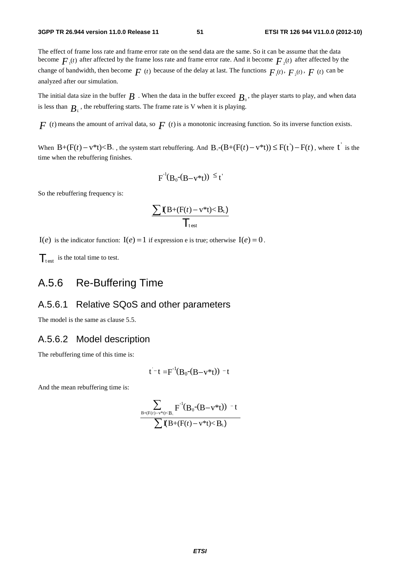The effect of frame loss rate and frame error rate on the send data are the same. So it can be assume that the data become  $F_{\mu}(t)$  after affected by the frame loss rate and frame error rate. And it become  $F_{\mu}(t)$  after affected by the change of bandwidth, then become  $F(t)$  because of the delay at last. The functions  $F_1(t)$ ,  $F_2(t)$ ,  $F(t)$  can be analyzed after our simulation.

The initial data size in the buffer  $B$ . When the data in the buffer exceed  $B_0$ , the player starts to play, and when data is less than  $B<sub>i</sub>$ , the rebuffering starts. The frame rate is V when it is playing.

 $F(t)$  means the amount of arrival data, so  $F(t)$  is a monotonic increasing function. So its inverse function exists.

When  $B+(F(t)-v^*t) < B_+$ , the system start rebuffering. And  $B_0-(B+(F(t)-v^*t)) \leq F(t')-F(t)$ , where  $t'$  is the time when the rebuffering finishes.

$$
F^{-1}(B_0-(B-v^*t)) \leq t'
$$

So the rebuffering frequency is:

$$
\frac{\sum \mathbf{I}(B+(F(t)-v^*t)
$$

 $I(e)$  is the indicator function:  $I(e) = 1$  if expression e is true; otherwise  $I(e) = 0$ .

 $\mathcal{T}_{\text{test}}$  is the total time to test.

## A.5.6 Re-Buffering Time

#### A.5.6.1 Relative SQoS and other parameters

The model is the same as clause 5.5.

### A.5.6.2 Model description

The rebuffering time of this time is:

$$
t^-t = F^{-1}(B_0-(B-v^*t)) - t
$$

And the mean rebuffering time is:

$$
\frac{\displaystyle\sum_{B+(F(t)-v^*t)
$$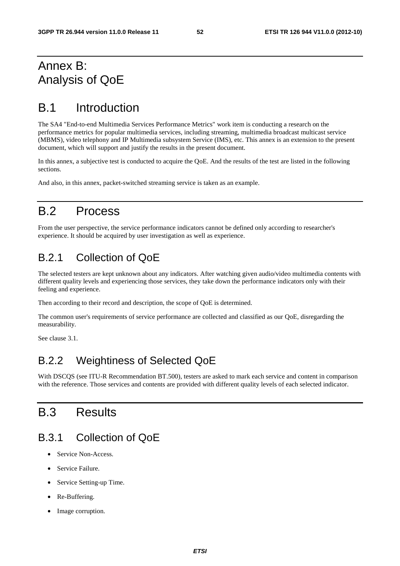# Annex B: Analysis of QoE

# B.1 Introduction

The SA4 "End-to-end Multimedia Services Performance Metrics" work item is conducting a research on the performance metrics for popular multimedia services, including streaming, multimedia broadcast multicast service (MBMS), video telephony and IP Multimedia subsystem Service (IMS), etc. This annex is an extension to the present document, which will support and justify the results in the present document.

In this annex, a subjective test is conducted to acquire the QoE. And the results of the test are listed in the following sections.

And also, in this annex, packet-switched streaming service is taken as an example.

# B.2 Process

From the user perspective, the service performance indicators cannot be defined only according to researcher's experience. It should be acquired by user investigation as well as experience.

## B.2.1 Collection of QoE

The selected testers are kept unknown about any indicators. After watching given audio/video multimedia contents with different quality levels and experiencing those services, they take down the performance indicators only with their feeling and experience.

Then according to their record and description, the scope of QoE is determined.

The common user's requirements of service performance are collected and classified as our QoE, disregarding the measurability.

See clause 3.1.

## B.2.2 Weightiness of Selected QoE

With DSCQS (see ITU-R Recommendation BT.500), testers are asked to mark each service and content in comparison with the reference. Those services and contents are provided with different quality levels of each selected indicator.

# B.3 Results

## B.3.1 Collection of QoE

- Service Non-Access.
- Service Failure.
- Service Setting-up Time.
- Re-Buffering.
- Image corruption.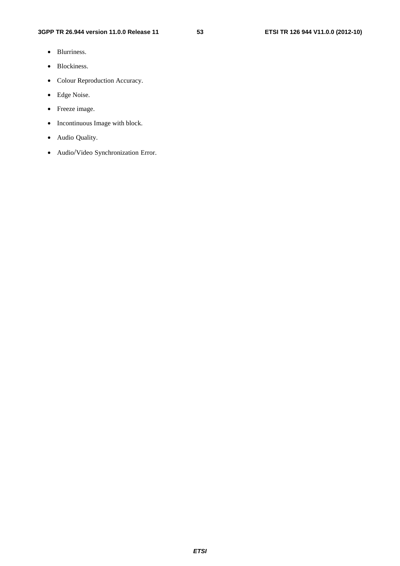- Blurriness.
- Blockiness.
- Colour Reproduction Accuracy.
- Edge Noise.
- Freeze image.
- Incontinuous Image with block.
- Audio Quality.
- Audio/Video Synchronization Error.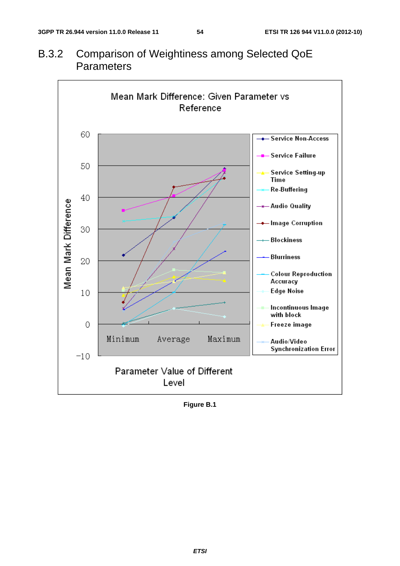

B.3.2 Comparison of Weightiness among Selected QoE **Parameters** 

**Figure B.1**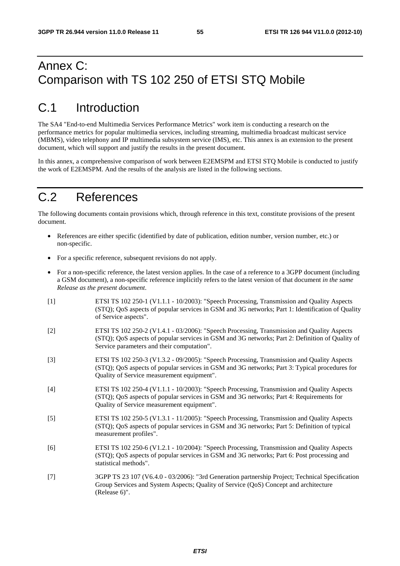# Annex C: Comparison with TS 102 250 of ETSI STQ Mobile

# C.1 Introduction

The SA4 "End-to-end Multimedia Services Performance Metrics" work item is conducting a research on the performance metrics for popular multimedia services, including streaming, multimedia broadcast multicast service (MBMS), video telephony and IP multimedia subsystem service (IMS), etc. This annex is an extension to the present document, which will support and justify the results in the present document.

In this annex, a comprehensive comparison of work between E2EMSPM and ETSI STQ Mobile is conducted to justify the work of E2EMSPM. And the results of the analysis are listed in the following sections.

# C.2 References

The following documents contain provisions which, through reference in this text, constitute provisions of the present document.

- References are either specific (identified by date of publication, edition number, version number, etc.) or non-specific.
- For a specific reference, subsequent revisions do not apply.
- For a non-specific reference, the latest version applies. In the case of a reference to a 3GPP document (including a GSM document), a non-specific reference implicitly refers to the latest version of that document *in the same Release as the present document*.
- [1] ETSI TS 102 250-1 (V1.1.1 10/2003): "Speech Processing, Transmission and Quality Aspects (STQ); QoS aspects of popular services in GSM and 3G networks; Part 1: Identification of Quality of Service aspects".
- [2] ETSI TS 102 250-2 (V1.4.1 03/2006): "Speech Processing, Transmission and Quality Aspects (STQ); QoS aspects of popular services in GSM and 3G networks; Part 2: Definition of Quality of Service parameters and their computation".
- [3] ETSI TS 102 250-3 (V1.3.2 09/2005): "Speech Processing, Transmission and Quality Aspects (STQ); QoS aspects of popular services in GSM and 3G networks; Part 3: Typical procedures for Quality of Service measurement equipment".
- [4] ETSI TS 102 250-4 (V1.1.1 10/2003): "Speech Processing, Transmission and Quality Aspects (STQ); QoS aspects of popular services in GSM and 3G networks; Part 4: Requirements for Quality of Service measurement equipment".
- [5] ETSI TS 102 250-5 (V1.3.1 11/2005): "Speech Processing, Transmission and Quality Aspects (STQ); QoS aspects of popular services in GSM and 3G networks; Part 5: Definition of typical measurement profiles".
- [6] ETSI TS 102 250-6 (V1.2.1 10/2004): "Speech Processing, Transmission and Quality Aspects (STQ); QoS aspects of popular services in GSM and 3G networks; Part 6: Post processing and statistical methods".
- [7] 3GPP TS 23 107 (V6.4.0 03/2006): "3rd Generation partnership Project; Technical Specification Group Services and System Aspects; Quality of Service (QoS) Concept and architecture (Release 6)".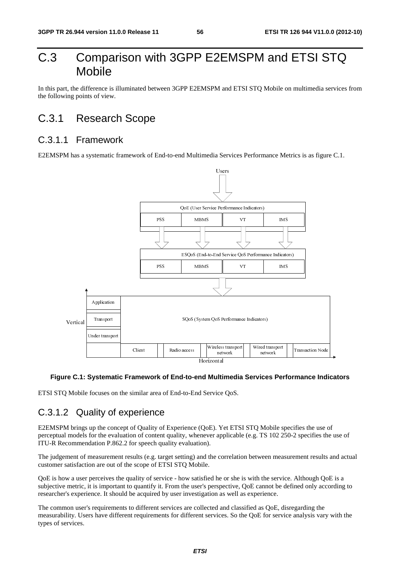# C.3 Comparison with 3GPP E2EMSPM and ETSI STQ Mobile

In this part, the difference is illuminated between 3GPP E2EMSPM and ETSI STQ Mobile on multimedia services from the following points of view.

## C.3.1 Research Scope

### C.3.1.1 Framework

E2EMSPM has a systematic framework of End-to-end Multimedia Services Performance Metrics is as figure C.1.



#### **Figure C.1: Systematic Framework of End-to-end Multimedia Services Performance Indicators**

ETSI STQ Mobile focuses on the similar area of End-to-End Service QoS.

## C.3.1.2 Quality of experience

Client Radio access Horizontal<br>
Horizontal<br>
Horizontal<br>
imilar area of End-to-End Service QoS.<br> **Clience**<br> **Clience**<br> **Clience**<br> **Clience**<br> **Clience**<br> **Clience**<br> **Clience**<br> **Clience**<br> **Clience**<br> **Clience**<br> **Clience**<br> **Clie** Ital<br>Iltime<br>ce Qo<br>Yet E<br>applic<br>correl<br>ne or s<br>spective<br>as well<br>and c<br>S. S The Mobile strategy and the services Perture of the service of the service control of the service cannot be a service of the service of the service of the service of the service of the service of the service of the service network<br>
ices Performance Indi<br>
IS 102 250-2 specifies th<br>
rean measurement results<br>
the service. Although Qo<br>
innot be defined only acc<br>
rience.<br>
s QoE, disregarding the<br>
l' for service analysis vary E2EMSPM brings up the concept of Quality of Experience (QoE). Yet ETSI STQ Mobile specifies the use of perceptual models for the evaluation of content quality, whenever applicable (e.g. TS 102 250-2 specifies the use of ITU-R Recommendation P.862.2 for speech quality evaluation).

The judgement of measurement results (e.g. target setting) and the correlation between measurement results and actual customer satisfaction are out of the scope of ETSI STQ Mobile.

QoE is how a user perceives the quality of service - how satisfied he or she is with the service. Although QoE is a subjective metric, it is important to quantify it. From the user's perspective, QoE cannot be defined only according to researcher's experience. It should be acquired by user investigation as well as experience.

The common user's requirements to different services are collected and classified as QoE, disregarding the measurability. Users have different requirements for different services. So the QoE for service analysis vary with the types of services.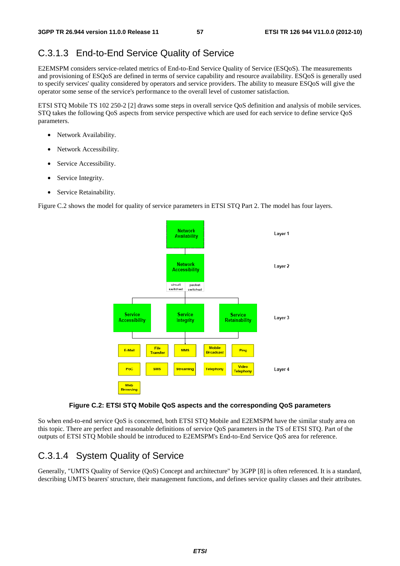## C.3.1.3 End-to-End Service Quality of Service

E2EMSPM considers service-related metrics of End-to-End Service Quality of Service (ESQoS). The measurements and provisioning of ESQoS are defined in terms of service capability and resource availability. ESQoS is generally used to specify services' quality considered by operators and service providers. The ability to measure ESQoS will give the operator some sense of the service's performance to the overall level of customer satisfaction.

ETSI STQ Mobile TS 102 250-2 [2] draws some steps in overall service QoS definition and analysis of mobile services. STQ takes the following QoS aspects from service perspective which are used for each service to define service QoS parameters.

- Network Availability.
- Network Accessibility.
- Service Accessibility.
- Service Integrity.
- Service Retainability.

Figure C.2 shows the model for quality of service parameters in ETSI STQ Part 2. The model has four layers.



#### **Figure C.2: ETSI STQ Mobile QoS aspects and the corresponding QoS parameters**

So when end-to-end service QoS is concerned, both ETSI STQ Mobile and E2EMSPM have the similar study area on this topic. There are perfect and reasonable definitions of service QoS parameters in the TS of ETSI STQ. Part of the outputs of ETSI STQ Mobile should be introduced to E2EMSPM's End-to-End Service QoS area for reference.

#### C.3.1.4 System Quality of Service

Generally, "UMTS Quality of Service (QoS) Concept and architecture" by 3GPP [8] is often referenced. It is a standard, describing UMTS bearers' structure, their management functions, and defines service quality classes and their attributes.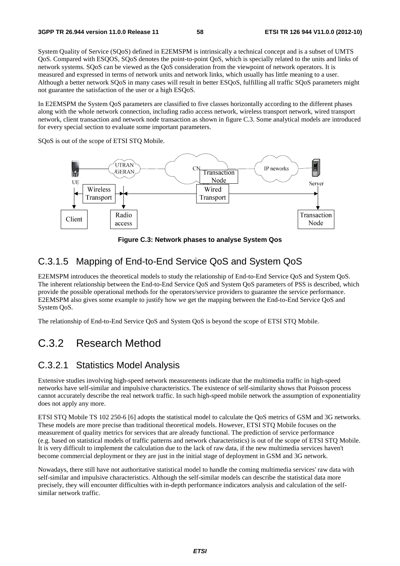System Quality of Service (SQoS) defined in E2EMSPM is intrinsically a technical concept and is a subset of UMTS QoS. Compared with ESQOS, SQoS denotes the point-to-point QoS, which is specially related to the units and links of network systems. SQoS can be viewed as the QoS consideration from the viewpoint of network operators. It is measured and expressed in terms of network units and network links, which usually has little meaning to a user. Although a better network SQoS in many cases will result in better ESQoS, fulfilling all traffic SQoS parameters might not guarantee the satisfaction of the user or a high ESQoS.

In E2EMSPM the System QoS parameters are classified to five classes horizontally according to the different phases along with the whole network connection, including radio access network, wireless transport network, wired transport network, client transaction and network node transaction as shown in figure C.3. Some analytical models are introduced for every special section to evaluate some important parameters.

SQoS is out of the scope of ETSI STQ Mobile.



**Figure C.3: Network phases to analyse System Qos** 

## C.3.1.5 Mapping of End-to-End Service QoS and System QoS

E2EMSPM introduces the theoretical models to study the relationship of End-to-End Service QoS and System QoS. The inherent relationship between the End-to-End Service QoS and System QoS parameters of PSS is described, which provide the possible operational methods for the operators/service providers to guarantee the service performance. E2EMSPM also gives some example to justify how we get the mapping between the End-to-End Service QoS and System QoS.

The relationship of End-to-End Service QoS and System QoS is beyond the scope of ETSI STQ Mobile.

# C.3.2 Research Method

### C.3.2.1 Statistics Model Analysis

Extensive studies involving high-speed network measurements indicate that the multimedia traffic in high-speed networks have self-similar and impulsive characteristics. The existence of self-similarity shows that Poisson process cannot accurately describe the real network traffic. In such high-speed mobile network the assumption of exponentiality does not apply any more.

ETSI STQ Mobile TS 102 250-6 [6] adopts the statistical model to calculate the QoS metrics of GSM and 3G networks. These models are more precise than traditional theoretical models. However, ETSI STQ Mobile focuses on the measurement of quality metrics for services that are already functional. The prediction of service performance (e.g. based on statistical models of traffic patterns and network characteristics) is out of the scope of ETSI STQ Mobile. It is very difficult to implement the calculation due to the lack of raw data, if the new multimedia services haven't become commercial deployment or they are just in the initial stage of deployment in GSM and 3G network.

Nowadays, there still have not authoritative statistical model to handle the coming multimedia services' raw data with self-similar and impulsive characteristics. Although the self-similar models can describe the statistical data more precisely, they will encounter difficulties with in-depth performance indicators analysis and calculation of the selfsimilar network traffic.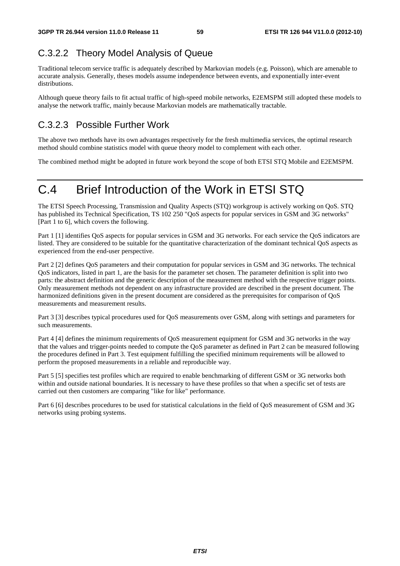# C.3.2.2 Theory Model Analysis of Queue

Traditional telecom service traffic is adequately described by Markovian models (e.g. Poisson), which are amenable to accurate analysis. Generally, theses models assume independence between events, and exponentially inter-event distributions.

Although queue theory fails to fit actual traffic of high-speed mobile networks, E2EMSPM still adopted these models to analyse the network traffic, mainly because Markovian models are mathematically tractable.

# C.3.2.3 Possible Further Work

The above two methods have its own advantages respectively for the fresh multimedia services, the optimal research method should combine statistics model with queue theory model to complement with each other.

The combined method might be adopted in future work beyond the scope of both ETSI STQ Mobile and E2EMSPM.

# C.4 Brief Introduction of the Work in ETSI STQ

The ETSI Speech Processing, Transmission and Quality Aspects (STQ) workgroup is actively working on QoS. STQ has published its Technical Specification, TS 102 250 "QoS aspects for popular services in GSM and 3G networks" [Part 1 to 6], which covers the following.

Part 1 [1] identifies QoS aspects for popular services in GSM and 3G networks. For each service the QoS indicators are listed. They are considered to be suitable for the quantitative characterization of the dominant technical QoS aspects as experienced from the end-user perspective.

Part 2 [2] defines QoS parameters and their computation for popular services in GSM and 3G networks. The technical QoS indicators, listed in part 1, are the basis for the parameter set chosen. The parameter definition is split into two parts: the abstract definition and the generic description of the measurement method with the respective trigger points. Only measurement methods not dependent on any infrastructure provided are described in the present document. The harmonized definitions given in the present document are considered as the prerequisites for comparison of QoS measurements and measurement results.

Part 3 [3] describes typical procedures used for QoS measurements over GSM, along with settings and parameters for such measurements.

Part 4 [4] defines the minimum requirements of QoS measurement equipment for GSM and 3G networks in the way that the values and trigger-points needed to compute the QoS parameter as defined in Part 2 can be measured following the procedures defined in Part 3. Test equipment fulfilling the specified minimum requirements will be allowed to perform the proposed measurements in a reliable and reproducible way.

Part 5 [5] specifies test profiles which are required to enable benchmarking of different GSM or 3G networks both within and outside national boundaries. It is necessary to have these profiles so that when a specific set of tests are carried out then customers are comparing "like for like" performance.

Part 6 [6] describes procedures to be used for statistical calculations in the field of QoS measurement of GSM and 3G networks using probing systems.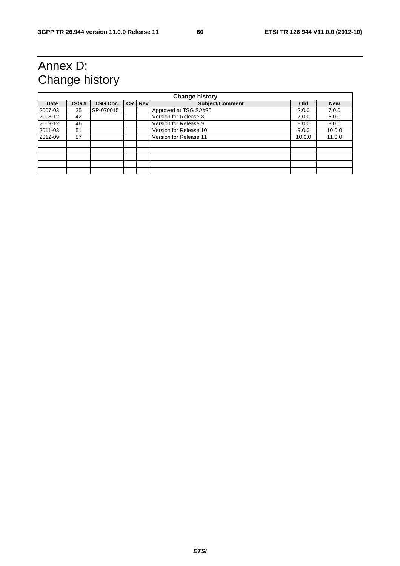# Annex D: Change history

| <b>Change history</b> |      |                 |  |          |                        |        |            |
|-----------------------|------|-----------------|--|----------|------------------------|--------|------------|
| Date                  | TSG# | <b>TSG Doc.</b> |  | CR   Rev | <b>Subject/Comment</b> | Old    | <b>New</b> |
| 2007-03               | 35   | SP-070015       |  |          | Approved at TSG SA#35  | 2.0.0  | 7.0.0      |
| 2008-12               | 42   |                 |  |          | Version for Release 8  | 7.0.0  | 8.0.0      |
| 2009-12               | 46   |                 |  |          | Version for Release 9  | 8.0.0  | 9.0.0      |
| 2011-03               | 51   |                 |  |          | Version for Release 10 | 9.0.0  | 10.0.0     |
| 2012-09               | 57   |                 |  |          | Version for Release 11 | 10.0.0 | 11.0.0     |
|                       |      |                 |  |          |                        |        |            |
|                       |      |                 |  |          |                        |        |            |
|                       |      |                 |  |          |                        |        |            |
|                       |      |                 |  |          |                        |        |            |
|                       |      |                 |  |          |                        |        |            |